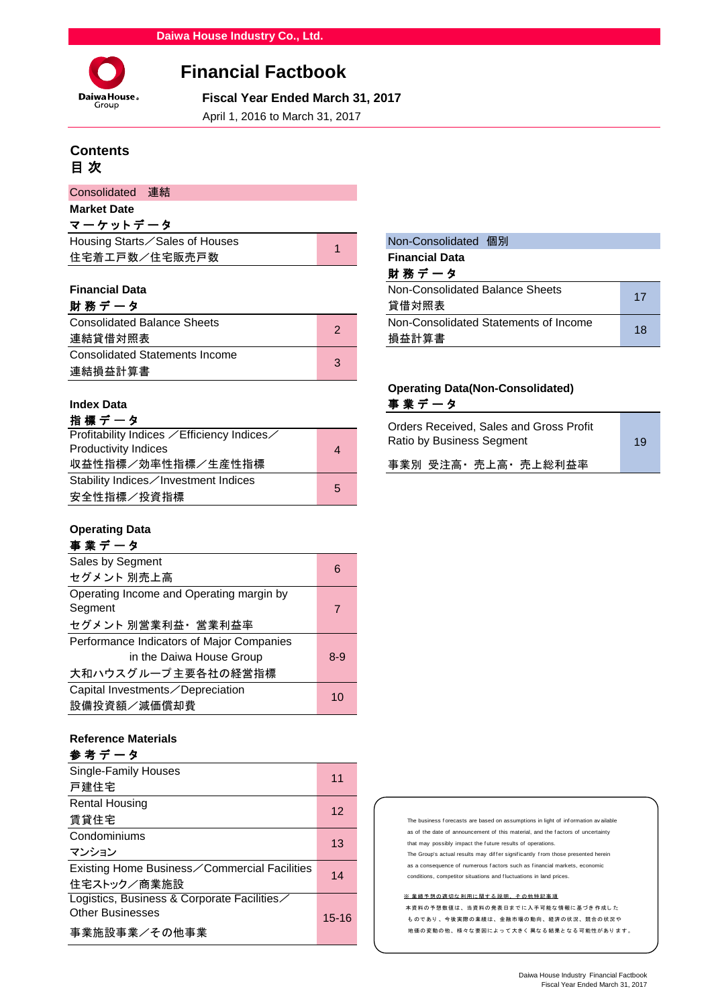

# **Financial Factbook**

 **Fiscal Year Ended March 31, 2017**

April 1, 2016 to March 31, 2017

# **Contents** 目 次

| Consolidated 連結    |                                |  |
|--------------------|--------------------------------|--|
| <b>Market Date</b> |                                |  |
| マーケットデータ           |                                |  |
|                    | Housing Starts∕Sales of Houses |  |
| 住宅着工戸数/住宅販売戸数      |                                |  |
|                    |                                |  |

| 財 務 デ ー タ                             |    |
|---------------------------------------|----|
| <b>Consolidated Balance Sheets</b>    | ာ  |
| 連結貸借対照表                               |    |
| <b>Consolidated Statements Income</b> | ્ર |
| 連結損益計算書                               |    |

# 指 標 デ ー タ

| Profitability Indices ∕Efficiency Indices∕ |                | <u>Ulucis Necelveu, Jales allu Uluss I Tul</u><br>Ratio by Business Segment |
|--------------------------------------------|----------------|-----------------------------------------------------------------------------|
| <b>Productivity Indices</b>                | $\overline{4}$ |                                                                             |
| 収益性指標/効率性指標/生産性指標                          |                | 事業別 受注高・売上高・売上総利益率                                                          |
| Stability Indices∕Investment Indices       |                |                                                                             |
| 安全性指標/投資指標                                 | 5              |                                                                             |

# **Operating Data**

# 事 業 デ ー タ

| 6       |
|---------|
|         |
|         |
| 7       |
|         |
|         |
| $8 - 9$ |
|         |
| 10      |
|         |
|         |

### **Reference Materials**

| 参考データ                                        |       |
|----------------------------------------------|-------|
| Single-Family Houses                         | 11    |
| 戸建住宅                                         |       |
| <b>Rental Housing</b>                        | 12    |
| 賃貸住宅                                         |       |
| Condominiums                                 | 13    |
| マンション                                        |       |
| Existing Home Business∕Commercial Facilities | 14    |
| 住宅ストック/商業施設                                  |       |
| Logistics, Business & Corporate Facilities   |       |
| <b>Other Businesses</b>                      | 15-16 |
| 事業施設事業/その他事業                                 |       |

#### **Non-Consolidated 個別 Financial Data** 財 務 デ ー タ **Financial Data Non-Consolidated Balance Sheets** 貸借対照表 Non-Consolidated Statements of Income 損益計算書 17 18

# **Operating Data(Non-Consolidated) Index Data** 事 業 デ ー タ

| Orders Received, Sales and Gross Profit<br>Ratio by Business Segment | 19 |  |
|----------------------------------------------------------------------|----|--|
| 事業別 受注高 · 売上高 · 売上総利益率                                               |    |  |
|                                                                      |    |  |

#### The business forecasts are based on assumptions in light of information av ailable as of the date of announcement of this material, and the f actors of uncertainty that may possibly impact the f uture results of operations. The Group's actual results may differ significantly from those presented herein as a consequence of numerous f actors such as f inancial markets, economic conditions, competitor situations and f luctuations in land prices.

#### ※ 業績予想の適切な利用に関する説明、 その他特記事項

本資料の予想数値は、 当資料の発表日までに入手可能な情報に基づき 作成し た も のであり 、 今後実際の業績は、 金融市場の動向、 経済の状況、 競合の状況や 地価の変動の他、 様々な要因によっ て大き く 異なる結果と なる可能性があり ます。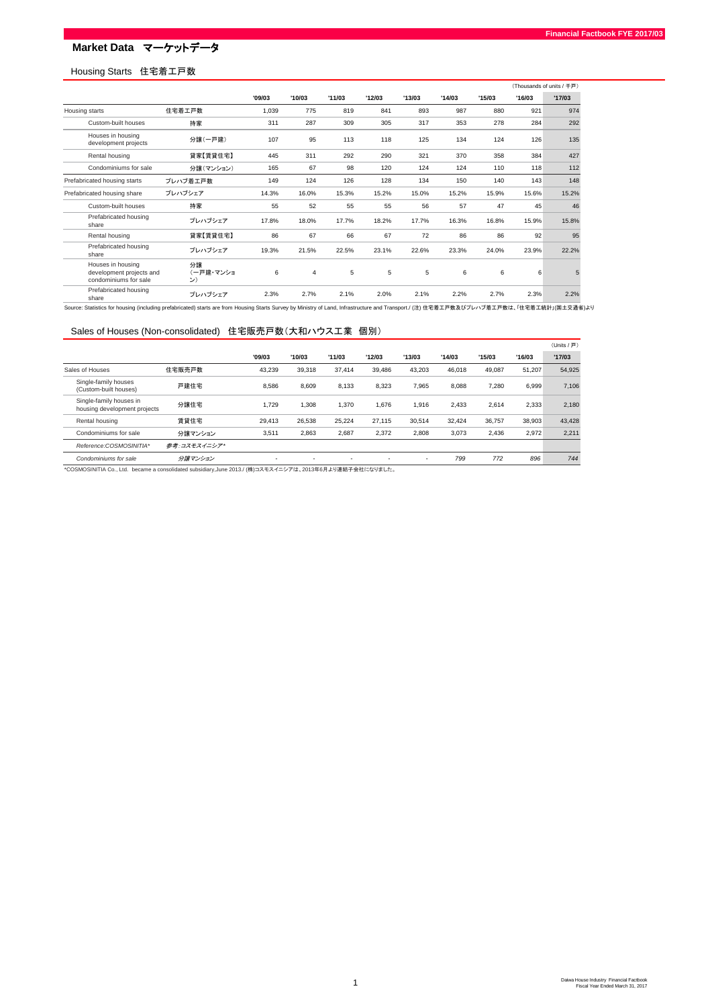# **Market Data** マーケットデータ

## Housing Starts 住宅着工戸数

|                                                                        |                       |        |                |        |        |        |        |        |        | (Thousands of units / 千戸) |
|------------------------------------------------------------------------|-----------------------|--------|----------------|--------|--------|--------|--------|--------|--------|---------------------------|
|                                                                        |                       | '09/03 | '10/03         | '11/03 | '12/03 | '13/03 | '14/03 | '15/03 | '16/03 | '17/03                    |
| Housing starts                                                         | 住宅着工戸数                | 1,039  | 775            | 819    | 841    | 893    | 987    | 880    | 921    | 974                       |
| Custom-built houses                                                    | 持家                    | 311    | 287            | 309    | 305    | 317    | 353    | 278    | 284    | 292                       |
| Houses in housing<br>development projects                              | 分譲(一戸建)               | 107    | 95             | 113    | 118    | 125    | 134    | 124    | 126    | 135                       |
| Rental housing                                                         | 貸家【賃貸住宅】              | 445    | 311            | 292    | 290    | 321    | 370    | 358    | 384    | 427                       |
| Condominiums for sale                                                  | 分譲(マンション)             | 165    | 67             | 98     | 120    | 124    | 124    | 110    | 118    | 112                       |
| Prefabricated housing starts                                           | プレハブ着工戸数              | 149    | 124            | 126    | 128    | 134    | 150    | 140    | 143    | 148                       |
| Prefabricated housing share                                            | プレハブシェア               | 14.3%  | 16.0%          | 15.3%  | 15.2%  | 15.0%  | 15.2%  | 15.9%  | 15.6%  | 15.2%                     |
| Custom-built houses                                                    | 持家                    | 55     | 52             | 55     | 55     | 56     | 57     | 47     | 45     | 46                        |
| Prefabricated housing<br>share                                         | プレハブシェア               | 17.8%  | 18.0%          | 17.7%  | 18.2%  | 17.7%  | 16.3%  | 16.8%  | 15.9%  | 15.8%                     |
| Rental housing                                                         | 貸家【賃貸住宅】              | 86     | 67             | 66     | 67     | 72     | 86     | 86     | 92     | 95                        |
| Prefabricated housing<br>share                                         | プレハブシェア               | 19.3%  | 21.5%          | 22.5%  | 23.1%  | 22.6%  | 23.3%  | 24.0%  | 23.9%  | 22.2%                     |
| Houses in housing<br>development projects and<br>condominiums for sale | 分譲<br>(一戸建・マンショ<br>ン) | 6      | $\overline{4}$ | 5      | 5      | 5      | 6      | 6      | 6      | 5                         |
| Prefabricated housing<br>share                                         | プレハブシェア               | 2.3%   | 2.7%           | 2.1%   | 2.0%   | 2.1%   | 2.2%   | 2.7%   | 2.3%   | 2.2%                      |

- Share Share Husum, ブレハブシェア 2.3% 2.7% 2.1% 2.0% 2.1% 2.9% 2.2% 2.7% 2.3% 2.2% 2.9% 2.2% 2.9% 2.2% 2.9% 2.2% 2.<br>Source: Statistics for housing (including prefabricated) starts are from Housing Starts Survey by Ministry o

### Sales of Houses (Non-consolidated) 住宅販売戸数(大和ハウス工業 個別)

|                                                         |              |                          |        |        |        |        |        |        |        | (Units / 戸) |
|---------------------------------------------------------|--------------|--------------------------|--------|--------|--------|--------|--------|--------|--------|-------------|
|                                                         |              | '09/03                   | '10/03 | '11/03 | '12/03 | '13/03 | '14/03 | '15/03 | '16/03 | '17/03      |
| Sales of Houses                                         | 住宅販売戸数       | 43.239                   | 39.318 | 37.414 | 39.486 | 43.203 | 46.018 | 49.087 | 51.207 | 54,925      |
| Single-family houses<br>(Custom-built houses)           | 戸建住宅         | 8.586                    | 8,609  | 8.133  | 8.323  | 7.965  | 8,088  | 7.280  | 6.999  | 7,106       |
| Single-family houses in<br>housing development projects | 分譲住宅         | 1.729                    | 1,308  | 1,370  | 1,676  | 1.916  | 2.433  | 2.614  | 2,333  | 2,180       |
| Rental housing                                          | 賃貸住宅         | 29.413                   | 26.538 | 25.224 | 27.115 | 30.514 | 32.424 | 36,757 | 38.903 | 43,428      |
| Condominiums for sale                                   | 分譲マンション      | 3,511                    | 2,863  | 2,687  | 2,372  | 2,808  | 3.073  | 2.436  | 2,972  | 2,211       |
| Reference:COSMOSINITIA*                                 | 参考:コスモスイニシア* |                          |        |        |        |        |        |        |        |             |
| Condominiums for sale                                   | 分譲マンション      | $\overline{\phantom{a}}$ |        |        |        | ۰      | 799    | 772    | 896    | 744         |

\*COSMOSINITIA Co., Ltd. became a consolidated subsidiary,June 2013./ (株)コスモスイニシアは、2013年6月より連結子会社になりました。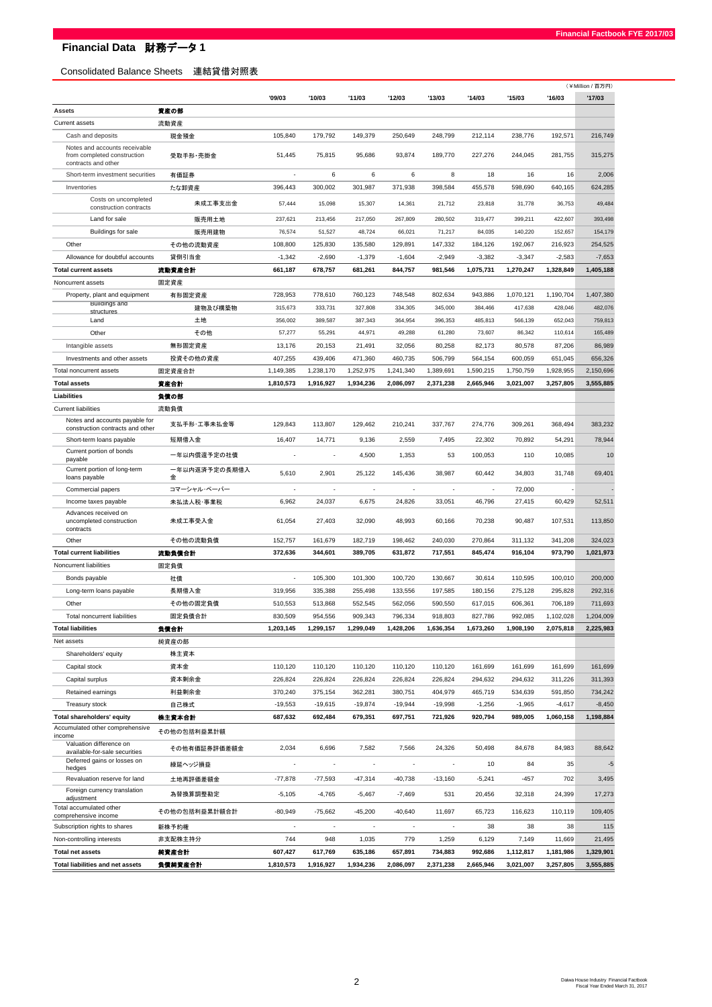## Consolidated Balance Sheets 連結貸借対照表

|                                                                                     |                              |                                   |                                   |                                   |                                   |                                    |                          |                   |                   | (¥Million / 百万円)  |
|-------------------------------------------------------------------------------------|------------------------------|-----------------------------------|-----------------------------------|-----------------------------------|-----------------------------------|------------------------------------|--------------------------|-------------------|-------------------|-------------------|
|                                                                                     |                              | '09/03                            | '10/03                            | '11/03                            | '12/03                            | '13/03                             | '14/03                   | '15/03            | '16/03            | '17/03            |
| Assets                                                                              | 資産の部                         |                                   |                                   |                                   |                                   |                                    |                          |                   |                   |                   |
| Current assets                                                                      | 流動資産                         |                                   |                                   |                                   |                                   |                                    |                          |                   |                   |                   |
| Cash and deposits                                                                   | 現金預金                         | 105,840                           | 179,792                           | 149,379                           | 250,649                           | 248,799                            | 212,114                  | 238,776           | 192,571           | 216,749           |
| Notes and accounts receivable<br>from completed construction<br>contracts and other | 受取手形·売掛金                     | 51,445                            | 75,815                            | 95,686                            | 93,874                            | 189,770                            | 227,276                  | 244,045           | 281,755           | 315,275           |
| Short-term investment securities                                                    | 有価証券                         | ÷.                                | 6                                 | 6                                 | 6                                 | 8                                  | 18                       | 16                | 16                | 2,006             |
| Inventories                                                                         | たな卸資産                        | 396,443                           | 300,002                           | 301,987                           | 371,938                           | 398,584                            | 455,578                  | 598,690           | 640,165           | 624,285           |
| Costs on uncompleted                                                                | 未成工事支出金                      | 57,444                            | 15,098                            | 15,307                            | 14,361                            | 21,712                             | 23,818                   | 31,778            | 36,753            | 49,484            |
| construction contracts                                                              |                              |                                   |                                   |                                   |                                   |                                    |                          |                   |                   |                   |
| Land for sale                                                                       | 販売用土地                        | 237,621                           | 213,456                           | 217,050                           | 267,809                           | 280.502                            | 319,477                  | 399,211           | 422,607           | 393,498           |
| Buildings for sale                                                                  | 販売用建物                        | 76,574                            | 51,527                            | 48,724                            | 66,021                            | 71,217                             | 84,035                   | 140,220           | 152,657           | 154,179           |
| Other                                                                               | その他の流動資産                     | 108,800                           | 125,830                           | 135,580                           | 129,891                           | 147,332                            | 184,126                  | 192,067           | 216,923           | 254,525           |
| Allowance for doubtful accounts                                                     | 貸倒引当金                        | $-1,342$                          | $-2,690$                          | $-1,379$                          | $-1,604$                          | $-2,949$                           | $-3,382$                 | $-3,347$          | $-2,583$          | $-7,653$          |
| <b>Total current assets</b>                                                         | 流動資産合計                       | 661,187                           | 678,757                           | 681,261                           | 844,757                           | 981,546                            | 1,075,731                | 1,270,247         | 1,328,849         | 1,405,188         |
| Noncurrent assets                                                                   | 固定資産                         |                                   |                                   |                                   |                                   |                                    |                          |                   |                   |                   |
| Property, plant and equipment<br><b>Buildings and</b>                               | 有形固定資産                       | 728,953                           | 778,610                           | 760,123                           | 748,548                           | 802,634                            | 943,886                  | 1,070,121         | 1,190,704         | 1,407,380         |
| structures                                                                          | 建物及び構築物                      | 315,673                           | 333,731                           | 327,808                           | 334,305                           | 345,000                            | 384,466                  | 417,638           | 428,046           | 482,076           |
| Land                                                                                | 土地                           | 356,002                           | 389,587                           | 387,343                           | 364,954                           | 396,353                            | 485,813                  | 566,139           | 652,043           | 759,813           |
| Other                                                                               | その他                          | 57,277                            | 55,291                            | 44,971                            | 49,288                            | 61,280                             | 73,607                   | 86,342            | 110,614           | 165,489           |
| Intangible assets                                                                   | 無形固定資産                       | 13,176                            | 20,153                            | 21,491                            | 32,056                            | 80,258                             | 82,173                   | 80,578            | 87,206            | 86,989            |
| Investments and other assets                                                        | 投資その他の資産                     | 407,255                           | 439,406                           | 471,360                           | 460,735                           | 506,799                            | 564,154                  | 600,059           | 651,045           | 656,326           |
| Total noncurrent assets                                                             | 固定資産合計                       | 1,149,385                         | 1,238,170                         | 1,252,975                         | 1,241,340                         | 1,389,691                          | 1,590,215                | 1,750,759         | 1,928,955         | 2,150,696         |
| <b>Total assets</b>                                                                 | 資産合計                         | 1,810,573                         | 1.916.927                         | 1,934,236                         | 2,086,097                         | 2,371,238                          | 2,665,946                | 3,021,007         | 3,257,805         | 3,555,885         |
| Liabilities                                                                         | 負債の部                         |                                   |                                   |                                   |                                   |                                    |                          |                   |                   |                   |
| <b>Current liabilities</b>                                                          | 流動負債                         |                                   |                                   |                                   |                                   |                                    |                          |                   |                   |                   |
| Notes and accounts payable for<br>construction contracts and other                  | 支払手形·工事未払金等                  | 129,843                           | 113,807                           | 129,462                           | 210,241                           | 337,767                            | 274,776                  | 309,261           | 368,494           | 383,232           |
| Short-term loans payable                                                            | 短期借入金                        | 16,407                            | 14,771                            | 9,136                             | 2,559                             | 7,495                              | 22,302                   | 70,892            | 54,291            | 78,944            |
| Current portion of bonds<br>payable<br>Current portion of long-term                 | ー年以内償還予定の社債<br>一年以内返済予定の長期借入 |                                   |                                   | 4,500                             | 1,353                             | 53                                 | 100,053                  | 110               | 10,085            | 10                |
| loans payable                                                                       | 金                            | 5,610                             | 2,901                             | 25,122                            | 145,436                           | 38,987                             | 60,442                   | 34,803            | 31,748            | 69,401            |
| Commercial papers                                                                   | コマーシャル・ペーパー                  | ÷,                                | $\overline{\phantom{a}}$          | $\overline{\phantom{a}}$          | $\overline{\phantom{a}}$          | $\overline{\phantom{a}}$           | $\overline{\phantom{a}}$ | 72,000            |                   |                   |
| Income taxes payable                                                                | 未払法人税·事業税                    | 6,962                             | 24,037                            | 6,675                             | 24,826                            | 33,051                             | 46,796                   | 27,415            | 60,429            | 52,511            |
| Advances received on<br>uncompleted construction<br>contracts                       | 未成工事受入金                      | 61,054                            | 27,403                            | 32,090                            | 48,993                            | 60,166                             | 70,238                   | 90,487            | 107,531           | 113,850           |
| Other                                                                               | その他の流動負債                     | 152,757                           | 161,679                           | 182,719                           | 198,462                           | 240,030                            | 270,864                  | 311,132           | 341,208           | 324,023           |
| <b>Total current liabilities</b>                                                    | 流動負債合計                       | 372,636                           | 344,601                           | 389,705                           | 631,872                           | 717,551                            | 845,474                  | 916.104           | 973,790           | 1,021,973         |
| Noncurrent liabilities                                                              | 固定負債                         |                                   |                                   |                                   |                                   |                                    |                          |                   |                   |                   |
| Bonds payable                                                                       | 社債                           | $\overline{\phantom{a}}$          | 105,300                           | 101,300                           | 100,720                           | 130,667                            | 30,614                   | 110,595           | 100,010           | 200,000           |
| Long-term loans payable                                                             | 長期借入金                        | 319,956                           | 335,388                           | 255,498                           | 133,556                           | 197,585                            | 180,156                  | 275,128           | 295,828           | 292,316           |
| Other                                                                               | その他の固定負債                     | 510,553                           | 513,868                           | 552,545                           | 562,056                           | 590,550                            | 617,015                  | 606,361           | 706,189           | 711,693           |
| Total noncurrent liabilities                                                        | 固定負債合計                       | 830,509                           | 954,556                           | 909,343                           | 796,334                           | 918,803                            | 827,786                  | 992,085           | 1,102,028         | 1,204,009         |
| <b>Total liabilities</b>                                                            | 負債合計                         | 1,203,145                         | 1,299,157                         | 1,299,049                         | 1,428,206                         | 1,636,354                          | 1,673,260                | 1,908,190         | 2,075,818         | 2,225,983         |
| Net assets                                                                          | 純資産の部                        |                                   |                                   |                                   |                                   |                                    |                          |                   |                   |                   |
| Shareholders' equity                                                                | 株主資本                         |                                   |                                   |                                   |                                   |                                    |                          |                   |                   |                   |
| Capital stock                                                                       | 資本金                          | 110,120                           | 110,120                           | 110,120                           | 110,120                           | 110,120                            | 161,699                  | 161,699           | 161,699           | 161,699           |
| Capital surplus                                                                     | 資本剰余金                        | 226,824                           | 226,824                           | 226,824                           | 226,824                           | 226,824                            | 294,632                  | 294,632           | 311,226           | 311,393           |
| Retained earnings                                                                   | 利益剰余金                        | 370,240                           | 375,154                           | 362,281                           | 380,751                           | 404,979                            | 465,719                  | 534,639           | 591,850           | 734,242           |
| Treasury stock                                                                      | 自己株式                         | $-19,553$                         | $-19,615$                         | $-19,874$                         | $-19,944$                         | $-19,998$                          | $-1,256$                 | $-1,965$          | $-4,617$          | $-8,450$          |
| Total shareholders' equity                                                          | 株主資本合計                       | 687,632                           | 692,484                           | 679,351                           | 697,751                           | 721,926                            | 920,794                  | 989,005           | 1,060,158         | 1,198,884         |
| Accumulated other comprehensive                                                     | その他の包括利益累計額                  |                                   |                                   |                                   |                                   |                                    |                          |                   |                   |                   |
| income<br>Valuation difference on                                                   |                              |                                   |                                   |                                   |                                   |                                    |                          |                   |                   |                   |
| available-for-sale securities<br>Deferred gains or losses on                        | その他有価証券評価差額金<br>繰延ヘッジ損益      | 2,034<br>$\overline{\phantom{a}}$ | 6,696<br>$\overline{\phantom{a}}$ | 7,582<br>$\overline{\phantom{a}}$ | 7,566<br>$\overline{\phantom{a}}$ | 24,326<br>$\overline{\phantom{a}}$ | 50,498<br>10             | 84,678<br>84      | 84,983<br>35      | 88,642<br>$-5$    |
| hedges                                                                              |                              |                                   |                                   |                                   |                                   |                                    |                          |                   |                   |                   |
| Revaluation reserve for land<br>Foreign currency translation                        | 土地再評価差額金                     | $-77,878$                         | $-77,593$                         | $-47,314$                         | $-40,738$                         | $-13,160$                          | $-5,241$                 | $-457$            | 702               | 3,495             |
| adjustment<br>Total accumulated other                                               | 為替換算調整勘定                     | $-5,105$<br>$-80,949$             | $-4,765$<br>$-75,662$             | $-5,467$<br>$-45,200$             | $-7,469$<br>$-40,640$             | 531<br>11,697                      | 20,456<br>65,723         | 32,318<br>116,623 | 24,399<br>110,119 | 17,273<br>109,405 |
| comprehensive income                                                                | その他の包括利益累計額合計                |                                   |                                   |                                   |                                   |                                    |                          |                   |                   |                   |
| Subscription rights to shares                                                       | 新株予約権                        | $\overline{\phantom{a}}$          | $\overline{\phantom{a}}$          | $\overline{\phantom{a}}$          | $\overline{\phantom{a}}$          | $\overline{\phantom{a}}$           | 38                       | 38                | 38                | 115               |
| Non-controlling interests                                                           | 非支配株主持分                      | 744                               | 948                               | 1,035                             | 779                               | 1,259                              | 6,129                    | 7,149             | 11,669            | 21,495            |
| <b>Total net assets</b>                                                             | 純資産合計                        | 607,427                           | 617,769                           | 635,186                           | 657,891                           | 734,883                            | 992,686                  | 1,112,817         | 1,181,986         | 1,329,901         |
| Total liabilities and net assets                                                    | 負債純資産合計                      | 1,810,573                         | 1,916,927                         | 1,934,236                         | 2,086,097                         | 2,371,238                          | 2,665,946                | 3,021,007         | 3,257,805         | 3,555,885         |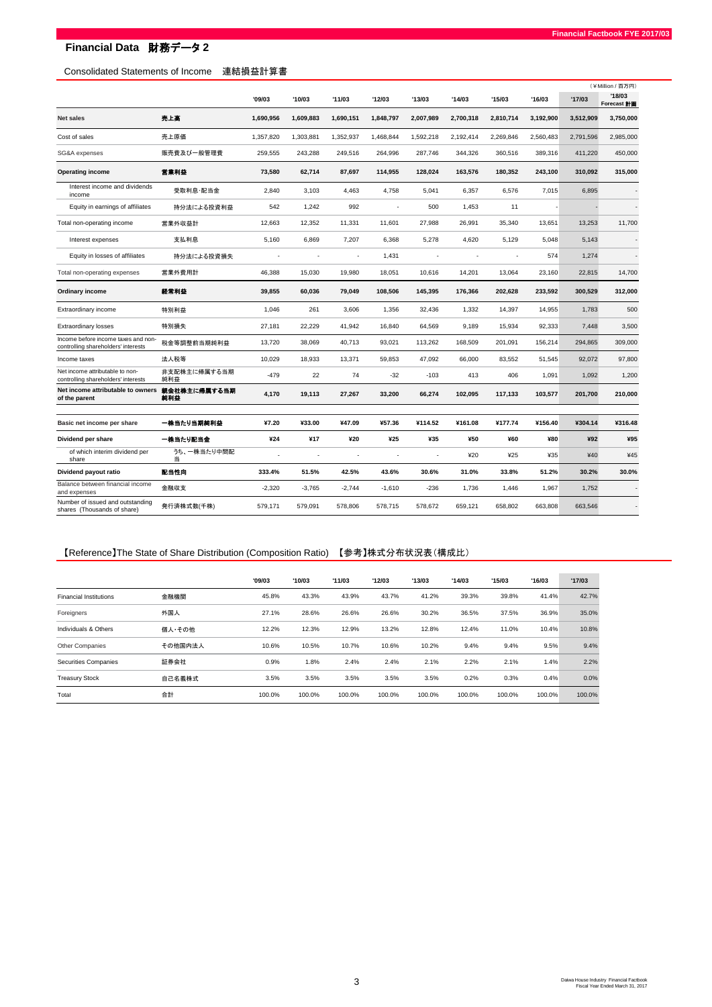# **Financial Data** 財務データ **2**

## Consolidated Statements of Income 連結損益計算書

|                                                                            |                     |           |           |           |           |           |           |           |           | (¥Million / 百万円) |                             |  |
|----------------------------------------------------------------------------|---------------------|-----------|-----------|-----------|-----------|-----------|-----------|-----------|-----------|------------------|-----------------------------|--|
|                                                                            |                     | '09/03    | '10/03    | '11/03    | '12/03    | '13/03    | '14/03    | '15/03    | '16/03    | '17/03           | '18/03<br>Forecast <b>H</b> |  |
| <b>Net sales</b>                                                           | 売上高                 | 1,690,956 | 1,609,883 | 1,690,151 | 1,848,797 | 2,007,989 | 2,700,318 | 2,810,714 | 3,192,900 | 3,512,909        | 3,750,000                   |  |
| Cost of sales                                                              | 売上原価                | 1,357,820 | 1,303,881 | 1,352,937 | 1,468,844 | 1,592,218 | 2,192,414 | 2,269,846 | 2,560,483 | 2,791,596        | 2,985,000                   |  |
| SG&A expenses                                                              | 販売費及び一般管理費          | 259,555   | 243,288   | 249,516   | 264,996   | 287,746   | 344,326   | 360,516   | 389,316   | 411,220          | 450,000                     |  |
| <b>Operating income</b>                                                    | 営業利益                | 73,580    | 62,714    | 87,697    | 114,955   | 128,024   | 163,576   | 180,352   | 243,100   | 310,092          | 315,000                     |  |
| Interest income and dividends<br>income                                    | 受取利息·配当金            | 2,840     | 3,103     | 4,463     | 4,758     | 5,041     | 6,357     | 6,576     | 7,015     | 6,895            |                             |  |
| Equity in earnings of affiliates                                           | 持分法による投資利益          | 542       | 1,242     | 992       | ÷,        | 500       | 1,453     | 11        |           |                  |                             |  |
| Total non-operating income                                                 | 営業外収益計              | 12,663    | 12,352    | 11,331    | 11,601    | 27,988    | 26,991    | 35,340    | 13,651    | 13,253           | 11,700                      |  |
| Interest expenses                                                          | 支払利息                | 5,160     | 6,869     | 7,207     | 6,368     | 5,278     | 4,620     | 5,129     | 5,048     | 5,143            |                             |  |
| Equity in losses of affiliates                                             | 持分法による投資損失          |           | ÷,        |           | 1,431     |           |           |           | 574       | 1,274            |                             |  |
| Total non-operating expenses                                               | 営業外費用計              | 46,388    | 15,030    | 19,980    | 18,051    | 10,616    | 14,201    | 13,064    | 23,160    | 22,815           | 14,700                      |  |
| Ordinary income                                                            | 経常利益                | 39,855    | 60,036    | 79,049    | 108,506   | 145,395   | 176,366   | 202,628   | 233,592   | 300,529          | 312,000                     |  |
| Extraordinary income                                                       | 特別利益                | 1,046     | 261       | 3.606     | 1,356     | 32,436    | 1,332     | 14,397    | 14,955    | 1,783            | 500                         |  |
| <b>Extraordinary losses</b>                                                | 特別損失                | 27,181    | 22,229    | 41,942    | 16,840    | 64,569    | 9,189     | 15,934    | 92,333    | 7,448            | 3,500                       |  |
| Income before income taxes and non-<br>controlling shareholders' interests | 税金等調整前当期純利益         | 13,720    | 38,069    | 40,713    | 93,021    | 113,262   | 168,509   | 201,091   | 156,214   | 294,865          | 309,000                     |  |
| Income taxes                                                               | 法人税等                | 10,029    | 18,933    | 13,371    | 59,853    | 47,092    | 66,000    | 83,552    | 51,545    | 92,072           | 97,800                      |  |
| Net income attributable to non-<br>controlling shareholders' interests     | 非支配株主に帰属する当期<br>純利益 | $-479$    | 22        | 74        | $-32$     | $-103$    | 413       | 406       | 1.091     | 1.092            | 1,200                       |  |
| Net income attributable to owners<br>of the parent                         | 親会社株主に帰属する当期<br>純利益 | 4,170     | 19,113    | 27,267    | 33,200    | 66,274    | 102,095   | 117,133   | 103,577   | 201,700          | 210,000                     |  |
| Basic net income per share                                                 | 一株当たり当期純利益          | ¥7.20     | ¥33.00    | ¥47.09    | ¥57.36    | ¥114.52   | ¥161.08   | ¥177.74   | ¥156.40   | ¥304.14          | ¥316.48                     |  |
| Dividend per share                                                         | 一株当たり配当金            | ¥24       | ¥17       | ¥20       | ¥25       | ¥35       | ¥50       | ¥60       | ¥80       | ¥92              | ¥95                         |  |
| of which interim dividend per<br>share                                     | うち、一株当たり中間配<br>当    | í.        | ÷.        |           | J.        | ä,        | ¥20       | ¥25       | ¥35       | ¥40              | ¥45                         |  |
| Dividend payout ratio                                                      | 配当性向                | 333.4%    | 51.5%     | 42.5%     | 43.6%     | 30.6%     | 31.0%     | 33.8%     | 51.2%     | 30.2%            | 30.0%                       |  |
| Balance between financial income<br>and expenses                           | 金融収支                | $-2,320$  | $-3,765$  | $-2,744$  | $-1,610$  | $-236$    | 1,736     | 1,446     | 1,967     | 1,752            |                             |  |
| Number of issued and outstanding<br>shares (Thousands of share)            | 発行済株式数(千株)          | 579,171   | 579,091   | 578,806   | 578,715   | 578,672   | 659.121   | 658,802   | 663,808   | 663.546          |                             |  |

# 【Reference】The State of Share Distribution (Composition Ratio) 【参考】株式分布状況表(構成比)

|                               |         | '09/03 | '10/03 | '11/03 | '12/03 | '13/03 | '14/03 | '15/03 | '16/03 | '17/03 |
|-------------------------------|---------|--------|--------|--------|--------|--------|--------|--------|--------|--------|
| <b>Financial Institutions</b> | 金融機関    | 45.8%  | 43.3%  | 43.9%  | 43.7%  | 41.2%  | 39.3%  | 39.8%  | 41.4%  | 42.7%  |
| Foreigners                    | 外国人     | 27.1%  | 28.6%  | 26.6%  | 26.6%  | 30.2%  | 36.5%  | 37.5%  | 36.9%  | 35.0%  |
| Individuals & Others          | 個人・その他  | 12.2%  | 12.3%  | 12.9%  | 13.2%  | 12.8%  | 12.4%  | 11.0%  | 10.4%  | 10.8%  |
| Other Companies               | その他国内法人 | 10.6%  | 10.5%  | 10.7%  | 10.6%  | 10.2%  | 9.4%   | 9.4%   | 9.5%   | 9.4%   |
| Securities Companies          | 証券会社    | 0.9%   | 1.8%   | 2.4%   | 2.4%   | 2.1%   | 2.2%   | 2.1%   | 1.4%   | 2.2%   |
| <b>Treasury Stock</b>         | 自己名義株式  | 3.5%   | 3.5%   | 3.5%   | 3.5%   | 3.5%   | 0.2%   | 0.3%   | 0.4%   | 0.0%   |
| Total                         | 合計      | 100.0% | 100.0% | 100.0% | 100.0% | 100.0% | 100.0% | 100.0% | 100.0% | 100.0% |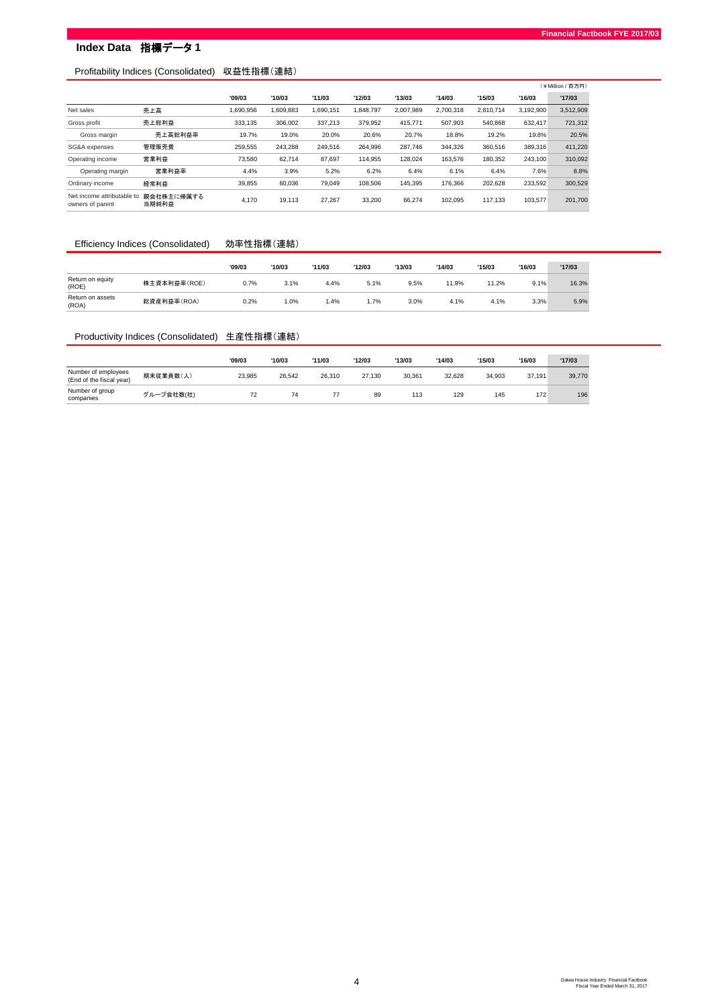# **Index Data** 指標データ **1**

## Profitability Indices (Consolidated) 収益性指標(連結)

|                                                |                     |           |           |           |          |           |           |           |           | (¥Million / 百万円) |
|------------------------------------------------|---------------------|-----------|-----------|-----------|----------|-----------|-----------|-----------|-----------|------------------|
|                                                |                     | '09/03    | '10/03    | '11/03    | '12/03   | '13/03    | '14/03    | '15/03    | '16/03    | '17/03           |
| Net sales                                      | 売上高                 | 1.690.956 | 1.609.883 | 1.690.151 | .848.797 | 2.007.989 | 2.700.318 | 2.810.714 | 3.192.900 | 3,512,909        |
| Gross profit                                   | 売上総利益               | 333,135   | 306.002   | 337,213   | 379.952  | 415.771   | 507.903   | 540.868   | 632.417   | 721,312          |
| Gross margin                                   | 売上高総利益率             | 19.7%     | 19.0%     | 20.0%     | 20.6%    | 20.7%     | 18.8%     | 19.2%     | 19.8%     | 20.5%            |
| SG&A expenses                                  | 管理販売費               | 259,555   | 243.288   | 249.516   | 264.996  | 287.746   | 344.326   | 360,516   | 389,316   | 411,220          |
| Operating income                               | 営業利益                | 73.580    | 62.714    | 87.697    | 114.955  | 128.024   | 163.576   | 180.352   | 243.100   | 310,092          |
| Operating margin                               | 営業利益率               | 4.4%      | 3.9%      | 5.2%      | 6.2%     | 6.4%      | 6.1%      | 6.4%      | 7.6%      | 8.8%             |
| Ordinary income                                | 経常利益                | 39.855    | 60.036    | 79.049    | 108,506  | 145.395   | 176.366   | 202.628   | 233.592   | 300.529          |
| Net income attributable to<br>owners of parent | 親会社株主に帰属する<br>当期純利益 | 4.170     | 19.113    | 27.267    | 33.200   | 66.274    | 102.095   | 117.133   | 103.577   | 201,700          |

### Efficiency Indices (Consolidated) 効率性指標(連結)

|                           |              | '09/03 | '10/03 | '11/03 | '12/03 | '13/03 | '14/03 | '15/03 | '16/03 | '17/03 |
|---------------------------|--------------|--------|--------|--------|--------|--------|--------|--------|--------|--------|
| Return on equity<br>(ROE) | 株主資本利益率(ROE) | 0.7%   | 3.1%   | 4.4%   | 5.1%   | 9.5%   | 11.9%  | 11.2%  | 9.1%   | 16.3%  |
| Return on assets<br>(ROA) | 総資産利益率(ROA)  | 0.2%   | .0%    | 1.4%   | .7%    | 3.0%   | 4.1%   | 4.1%   | 3.3%   | 5.9%   |

## Productivity Indices (Consolidated) 生産性指標(連結)

|                                                 |            | '09/03 | '10/03 | '11/03 | '12/03 | '13/03 | '14/03 | '15/03 | '16/03 | '17/03 |
|-------------------------------------------------|------------|--------|--------|--------|--------|--------|--------|--------|--------|--------|
| Number of employees<br>(End of the fiscal year) | 期末従業員数(人)  | 23.985 | 26.542 | 26.310 | 27.130 | 30.361 | 32.628 | 34.903 | 37.191 | 39,770 |
| Number of group<br>companies                    | グループ会社数(社) | 72     | 74     | 77     | 89     | 113    | 129    | 145    | 172    | 196    |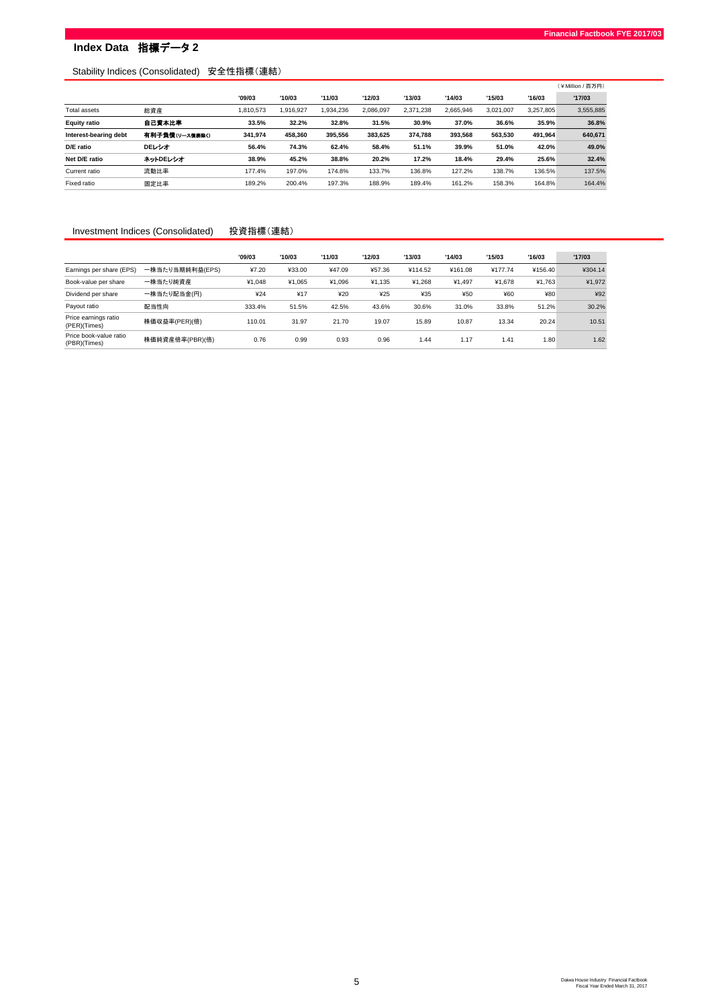# **Index Data** 指標データ **2**

## Stability Indices (Consolidated) 安全性指標(連結)

|                       |                |           |           |          |           |           |           |           |           | (¥Million/百万円) |
|-----------------------|----------------|-----------|-----------|----------|-----------|-----------|-----------|-----------|-----------|----------------|
|                       |                | '09/03    | '10/03    | '11/03   | '12/03    | '13/03    | '14/03    | '15/03    | '16/03    | '17/03         |
| Total assets          | 総資産            | 1.810.573 | 1.916.927 | .934.236 | 2.086.097 | 2.371.238 | 2.665.946 | 3.021.007 | 3.257.805 | 3,555,885      |
| <b>Equity ratio</b>   | 自己資本比率         | 33.5%     | 32.2%     | 32.8%    | 31.5%     | 30.9%     | 37.0%     | 36.6%     | 35.9%     | 36.8%          |
| Interest-bearing debt | 有利子負債(リース債券除く) | 341.974   | 458.360   | 395.556  | 383,625   | 374,788   | 393.568   | 563,530   | 491,964   | 640,671        |
| D/E ratio             | DEレシオ          | 56.4%     | 74.3%     | 62.4%    | 58.4%     | 51.1%     | 39.9%     | 51.0%     | 42.0%     | 49.0%          |
| Net D/E ratio         | ネットDEレシオ       | 38.9%     | 45.2%     | 38.8%    | 20.2%     | 17.2%     | 18.4%     | 29.4%     | 25.6%     | 32.4%          |
| Current ratio         | 流動比率           | 177.4%    | 197.0%    | 174.8%   | 133.7%    | 136.8%    | 127.2%    | 138.7%    | 136.5%    | 137.5%         |
| Fixed ratio           | 固定比率           | 189.2%    | 200.4%    | 197.3%   | 188.9%    | 189.4%    | 161.2%    | 158.3%    | 164.8%    | 164.4%         |

#### Investment Indices (Consolidated) 投資指標(連結)

|                                        |                 | '09/03 | '10/03 | '11/03 | '12/03 | '13/03  | '14/03  | '15/03  | '16/03  | '17/03  |
|----------------------------------------|-----------------|--------|--------|--------|--------|---------|---------|---------|---------|---------|
| Earnings per share (EPS)               | 一株当たり当期純利益(EPS) | ¥7.20  | ¥33.00 | ¥47.09 | ¥57.36 | ¥114.52 | ¥161.08 | ¥177.74 | ¥156.40 | ¥304.14 |
| Book-value per share                   | 一株当たり純資産        | ¥1.048 | ¥1.065 | ¥1.096 | ¥1.135 | ¥1.268  | ¥1.497  | ¥1.678  | ¥1.763  | ¥1,972  |
| Dividend per share                     | 一株当たり配当金(円)     | ¥24    | ¥17    | ¥20    | 425    | ¥35     | ¥50     | ¥60     | ¥80     | ¥92     |
| Payout ratio                           | 配当性向            | 333.4% | 51.5%  | 42.5%  | 43.6%  | 30.6%   | 31.0%   | 33.8%   | 51.2%   | 30.2%   |
| Price earnings ratio<br>(PER)(Times)   | 株価収益率(PER)(倍)   | 110.01 | 31.97  | 21.70  | 19.07  | 15.89   | 10.87   | 13.34   | 20.24   | 10.51   |
| Price book-value ratio<br>(PBR)(Times) | 株価純資産倍率(PBR)(倍) | 0.76   | 0.99   | 0.93   | 0.96   | 1.44    | 1.17    | 1.41    | 1.80    | 1.62    |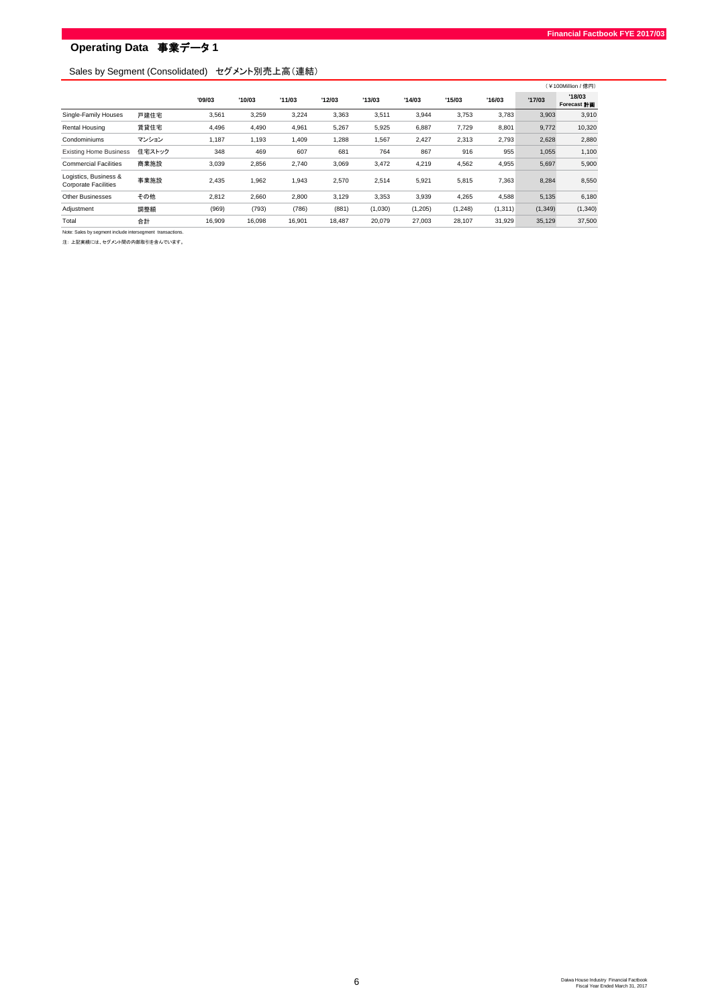## Sales by Segment (Consolidated) セグメント別売上高(連結)

|                                                      |        |        |        |        |        |         |         |          |          |         | (¥100Million / 億円)    |
|------------------------------------------------------|--------|--------|--------|--------|--------|---------|---------|----------|----------|---------|-----------------------|
|                                                      |        | '09/03 | '10/03 | '11/03 | '12/03 | '13/03  | '14/03  | '15/03   | '16/03   | '17/03  | '18/03<br>Forecast 計画 |
| Single-Family Houses                                 | 戸建住宅   | 3,561  | 3,259  | 3,224  | 3,363  | 3,511   | 3,944   | 3,753    | 3,783    | 3,903   | 3,910                 |
| Rental Housing                                       | 賃貸住宅   | 4.496  | 4,490  | 4,961  | 5,267  | 5,925   | 6,887   | 7,729    | 8,801    | 9,772   | 10,320                |
| Condominiums                                         | マンション  | 1,187  | 1,193  | 1,409  | 1,288  | 1,567   | 2,427   | 2,313    | 2,793    | 2,628   | 2,880                 |
| <b>Existing Home Business</b>                        | 住宅ストック | 348    | 469    | 607    | 681    | 764     | 867     | 916      | 955      | 1,055   | 1,100                 |
| <b>Commercial Facilities</b>                         | 商業施設   | 3,039  | 2,856  | 2,740  | 3,069  | 3,472   | 4,219   | 4,562    | 4,955    | 5,697   | 5,900                 |
| Logistics, Business &<br><b>Corporate Facilities</b> | 事業施設   | 2,435  | 1,962  | 1,943  | 2,570  | 2,514   | 5,921   | 5,815    | 7,363    | 8,284   | 8,550                 |
| <b>Other Businesses</b>                              | その他    | 2.812  | 2.660  | 2,800  | 3,129  | 3,353   | 3,939   | 4,265    | 4,588    | 5,135   | 6,180                 |
| Adjustment                                           | 調整額    | (969)  | (793)  | (786)  | (881)  | (1,030) | (1,205) | (1, 248) | (1, 311) | (1,349) | (1, 340)              |
| Total                                                | 合計     | 16,909 | 16,098 | 16,901 | 18,487 | 20,079  | 27,003  | 28,107   | 31,929   | 35,129  | 37,500                |
|                                                      |        |        |        |        |        |         |         |          |          |         |                       |

Note: Sales by segment include intersegment transactions. 注: 上記実績には、セグメント間の内部取引を含んでいます。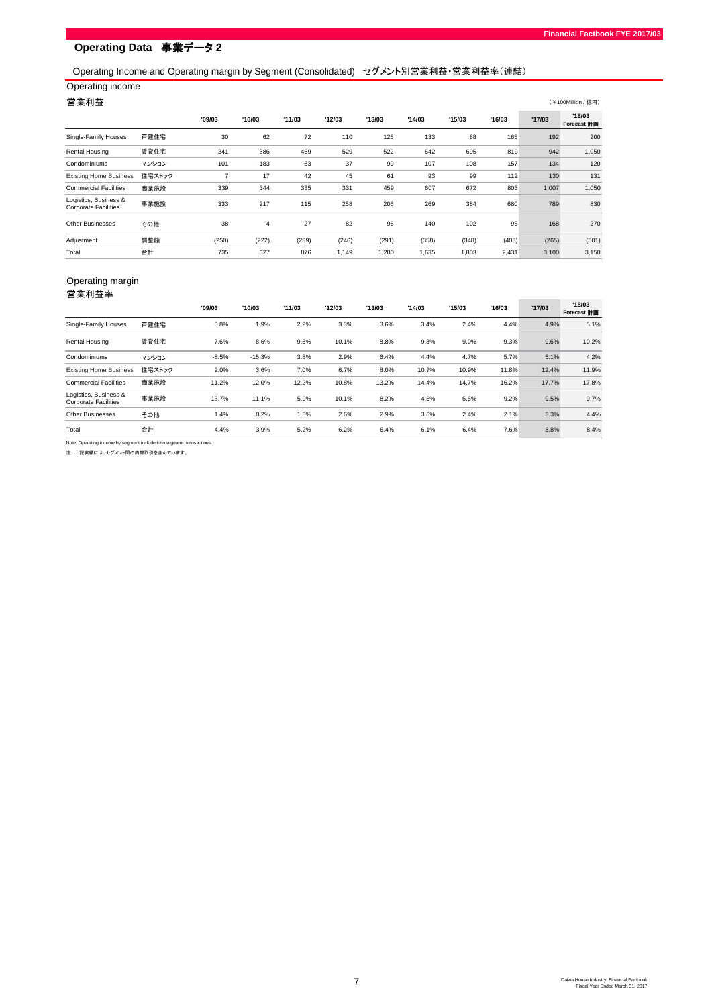## Operating Income and Operating margin by Segment (Consolidated) セグメント別営業利益・営業利益率(連結)

## Operating income

#### 营業利益  $\sim$   $($   $\ast$  100Million / (  $\ast$  10  $\,$   $\rightarrow$   $\,$   $($   $\ast$   $\ast$   $\rightarrow$   $\,$   $\rightarrow$   $\,$   $\rightarrow$   $\,$   $\rightarrow$   $\,$   $\rightarrow$   $\,$   $\rightarrow$   $\,$   $\rightarrow$   $\,$   $\rightarrow$   $\,$   $\rightarrow$   $\,$   $\rightarrow$   $\,$   $\rightarrow$   $\,$   $\rightarrow$   $\,$   $\rightarrow$   $\,$   $\rightarrow$   $\,$   $\rightarrow$   $\,$

|                                                      |        | '09/03 | '10/03         | '11/03 | '12/03 | '13/03 | '14/03 | '15/03 | '16/03 | '17/03 | '18/03<br><b>Forecast 計画</b> |
|------------------------------------------------------|--------|--------|----------------|--------|--------|--------|--------|--------|--------|--------|------------------------------|
| Single-Family Houses                                 | 戸建住宅   | 30     | 62             | 72     | 110    | 125    | 133    | 88     | 165    | 192    | 200                          |
| Rental Housing                                       | 賃貸住宅   | 341    | 386            | 469    | 529    | 522    | 642    | 695    | 819    | 942    | 1,050                        |
| Condominiums                                         | マンション  | $-101$ | $-183$         | 53     | 37     | 99     | 107    | 108    | 157    | 134    | 120                          |
| <b>Existing Home Business</b>                        | 住宅ストック | ÷.     | 17             | 42     | 45     | 61     | 93     | 99     | 112    | 130    | 131                          |
| <b>Commercial Facilities</b>                         | 商業施設   | 339    | 344            | 335    | 331    | 459    | 607    | 672    | 803    | 1,007  | 1,050                        |
| Logistics, Business &<br><b>Corporate Facilities</b> | 事業施設   | 333    | 217            | 115    | 258    | 206    | 269    | 384    | 680    | 789    | 830                          |
| <b>Other Businesses</b>                              | その他    | 38     | $\overline{4}$ | 27     | 82     | 96     | 140    | 102    | 95     | 168    | 270                          |
| Adjustment                                           | 調整額    | (250)  | (222)          | (239)  | (246)  | (291)  | (358)  | (348)  | (403)  | (265)  | (501)                        |
| Total                                                | 合計     | 735    | 627            | 876    | 1,149  | 1,280  | 1,635  | 1,803  | 2,431  | 3,100  | 3,150                        |

### Operating margin 営業利益率

|                                                                      |        | '09/03  | '10/03   | '11/03 | '12/03 | '13/03 | '14/03 | '15/03 | '16/03 | '17/03 | '18/03<br>Forecast <b>HT</b> |
|----------------------------------------------------------------------|--------|---------|----------|--------|--------|--------|--------|--------|--------|--------|------------------------------|
| Single-Family Houses                                                 | 戸建住宅   | 0.8%    | 1.9%     | 2.2%   | 3.3%   | 3.6%   | 3.4%   | 2.4%   | 4.4%   | 4.9%   | 5.1%                         |
| Rental Housing                                                       | 賃貸住宅   | 7.6%    | 8.6%     | 9.5%   | 10.1%  | 8.8%   | 9.3%   | 9.0%   | 9.3%   | 9.6%   | 10.2%                        |
| Condominiums                                                         | マンション  | $-8.5%$ | $-15.3%$ | 3.8%   | 2.9%   | 6.4%   | 4.4%   | 4.7%   | 5.7%   | 5.1%   | 4.2%                         |
| <b>Existing Home Business</b>                                        | 住宅ストック | 2.0%    | 3.6%     | 7.0%   | 6.7%   | 8.0%   | 10.7%  | 10.9%  | 11.8%  | 12.4%  | 11.9%                        |
| <b>Commercial Facilities</b>                                         | 商業施設   | 11.2%   | 12.0%    | 12.2%  | 10.8%  | 13.2%  | 14.4%  | 14.7%  | 16.2%  | 17.7%  | 17.8%                        |
| Logistics, Business &<br><b>Corporate Facilities</b>                 | 事業施設   | 13.7%   | 11.1%    | 5.9%   | 10.1%  | 8.2%   | 4.5%   | 6.6%   | 9.2%   | 9.5%   | 9.7%                         |
| <b>Other Businesses</b>                                              | その他    | 1.4%    | 0.2%     | 1.0%   | 2.6%   | 2.9%   | 3.6%   | 2.4%   | 2.1%   | 3.3%   | 4.4%                         |
| Total                                                                | 合計     | 4.4%    | 3.9%     | 5.2%   | 6.2%   | 6.4%   | 6.1%   | 6.4%   | 7.6%   | 8.8%   | 8.4%                         |
| Note: Operating income by segment include intersegment transactions. |        |         |          |        |        |        |        |        |        |        |                              |

注: 上記実績には、セグメント間の内部取引を含んでいます。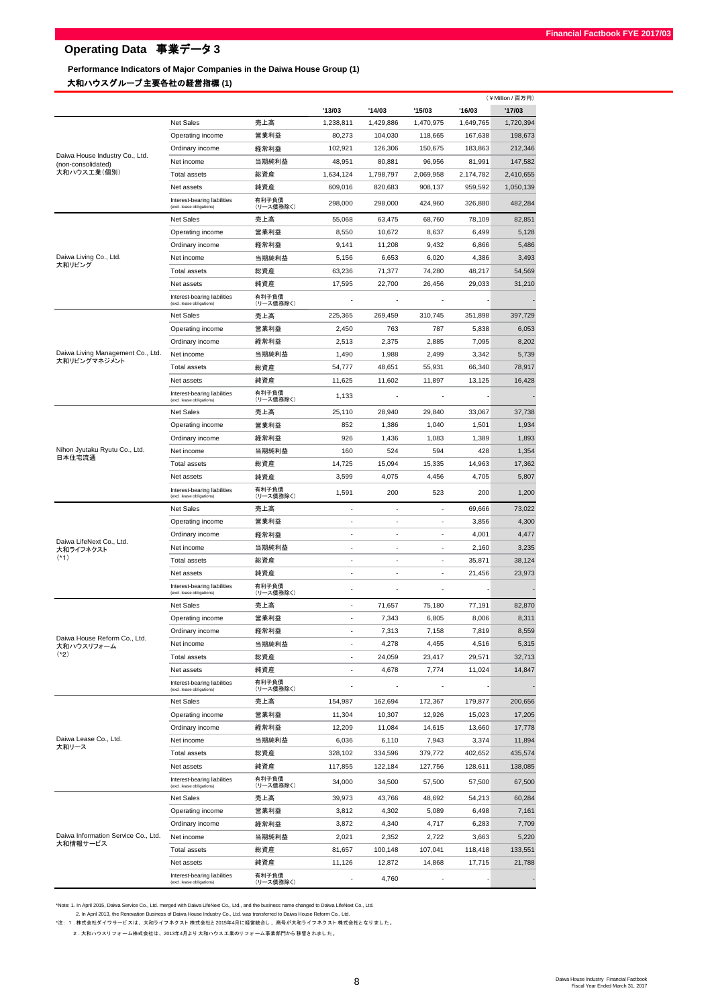# **Performance Indicators of Major Companies in the Daiwa House Group (1)**

# 大和ハウスグループ主要各社の経営指標 **(1)**

|                                                      |                                                           |                    |                              |           |                          |           | (¥Million / 百万円) |
|------------------------------------------------------|-----------------------------------------------------------|--------------------|------------------------------|-----------|--------------------------|-----------|------------------|
|                                                      |                                                           |                    | '13/03                       | '14/03    | '15/03                   | '16/03    | '17/03           |
|                                                      | Net Sales                                                 | 売上高                | 1,238,811                    | 1,429,886 | 1,470,975                | 1,649,765 | 1,720,394        |
|                                                      | Operating income                                          | 営業利益               | 80,273                       | 104,030   | 118,665                  | 167,638   | 198,673          |
|                                                      | Ordinary income                                           | 経常利益               | 102,921                      | 126,306   | 150,675                  | 183,863   | 212,346          |
| Daiwa House Industry Co., Ltd.<br>(non-consolidated) | Net income                                                | 当期純利益              | 48,951                       | 80,881    | 96,956                   | 81,991    | 147,582          |
| 大和ハウス工業(個別)                                          | <b>Total assets</b>                                       | 総資産                | 1,634,124                    | 1,798,797 | 2,069,958                | 2,174,782 | 2,410,655        |
|                                                      | Net assets                                                | 純資産                | 609,016                      | 820,683   | 908,137                  | 959,592   | 1,050,139        |
|                                                      | Interest-bearing liabilities<br>(excl. lease obligations) | 有利子負債<br>(リース債務除く) | 298,000                      | 298,000   | 424,960                  | 326,880   | 482,284          |
|                                                      | Net Sales                                                 | 売上高                | 55,068                       | 63,475    | 68,760                   | 78,109    | 82,851           |
|                                                      | Operating income                                          | 営業利益               | 8,550                        | 10,672    | 8,637                    | 6,499     | 5,128            |
|                                                      | Ordinary income                                           | 経常利益               | 9,141                        | 11,208    | 9,432                    | 6,866     | 5,486            |
| Daiwa Living Co., Ltd.                               | Net income                                                | 当期純利益              | 5,156                        | 6,653     | 6,020                    | 4,386     | 3,493            |
| 大和リビング                                               | <b>Total assets</b>                                       | 総資産                | 63,236                       | 71,377    | 74,280                   | 48,217    | 54,569           |
|                                                      | Net assets                                                | 純資産                | 17,595                       | 22,700    | 26,456                   | 29,033    | 31,210           |
|                                                      | Interest-bearing liabilities<br>(excl. lease obligations) | 有利子負債<br>(リース債務除く) |                              |           |                          |           |                  |
|                                                      | Net Sales                                                 | 売上高                | 225,365                      | 269,459   | 310,745                  | 351,898   | 397,729          |
|                                                      | Operating income                                          | 営業利益               | 2,450                        | 763       | 787                      | 5,838     | 6,053            |
|                                                      | Ordinary income                                           | 経常利益               | 2,513                        | 2,375     | 2,885                    | 7,095     | 8,202            |
| Daiwa Living Management Co., Ltd.                    | Net income                                                | 当期純利益              | 1,490                        | 1,988     | 2,499                    | 3,342     | 5,739            |
| 大和リビングマネジメント                                         | Total assets                                              | 総資産                | 54,777                       | 48,651    | 55,931                   | 66,340    | 78,917           |
|                                                      | Net assets                                                |                    | 11,625                       | 11,602    | 11,897                   | 13,125    | 16,428           |
|                                                      |                                                           | 純資産<br>有利子負債       |                              |           |                          |           |                  |
|                                                      | Interest-bearing liabilities<br>(excl. lease obligations) | (リース債務除く)          | 1,133                        |           | ٠                        |           |                  |
|                                                      | Net Sales                                                 | 売上高                | 25,110                       | 28,940    | 29,840                   | 33,067    | 37,738           |
|                                                      | Operating income                                          | 営業利益               | 852                          | 1,386     | 1,040                    | 1,501     | 1,934            |
|                                                      | Ordinary income                                           | 経常利益               | 926                          | 1,436     | 1,083                    | 1,389     | 1,893            |
| Nihon Jyutaku Ryutu Co., Ltd.<br>日本住宅流通              | Net income                                                | 当期純利益              | 160                          | 524       | 594                      | 428       | 1,354            |
|                                                      | Total assets                                              | 総資産                | 14,725                       | 15,094    | 15,335                   | 14,963    | 17,362           |
|                                                      | Net assets                                                | 純資産                | 3,599                        | 4,075     | 4,456                    | 4,705     | 5,807            |
|                                                      | Interest-bearing liabilities<br>(excl. lease obligations) | 有利子負債<br>(リース債務除く) | 1,591                        | 200       | 523                      | 200       | 1,200            |
|                                                      | Net Sales                                                 | 売上高                | ×,                           | ×         | ÷,                       | 69,666    | 73,022           |
|                                                      | Operating income                                          | 営業利益               | ٠                            | ٠         | $\overline{\phantom{a}}$ | 3,856     | 4,300            |
|                                                      | Ordinary income                                           | 経常利益               | ä,                           | ٠         | ٠                        | 4,001     | 4,477            |
| Daiwa LifeNext Co., Ltd.<br>大和ライフネクスト                | Net income                                                | 当期純利益              | ÷.                           | ×         | ä,                       | 2,160     | 3,235            |
| $(*1)$                                               | <b>Total assets</b>                                       | 総資産                | ×,                           | ×         | ÷,                       | 35,871    | 38,124           |
|                                                      | Net assets                                                | 純資産                | ä,                           | ×,        | ä,                       | 21,456    | 23,973           |
|                                                      | Interest-bearing liabilities<br>(excl. lease obligations) | 有利子負債<br>(リース債務除く) |                              |           |                          |           |                  |
|                                                      | <b>Net Sales</b>                                          | 売上高                | ä,                           | 71,657    | 75,180                   | 77,191    | 82,870           |
|                                                      | Operating income                                          | 営業利益               | ×,                           | 7,343     | 6,805                    | 8,006     | 8,311            |
|                                                      | Ordinary income                                           | 経常利益               |                              | 7,313     | 7,158                    | 7,819     | 8,559            |
| Daiwa House Reform Co., Ltd.                         | Net income                                                | 当期純利益              | $\overline{\phantom{a}}$     | 4,278     | 4,455                    | 4,516     | 5,315            |
| 大和ハウスリフォーム<br>$(*2)$                                 | <b>Total assets</b>                                       | 総資産                | $\qquad \qquad \blacksquare$ | 24,059    | 23,417                   | 29,571    | 32,713           |
|                                                      | Net assets                                                | 純資産                | ×,                           | 4,678     | 7,774                    | 11,024    | 14,847           |
|                                                      | Interest-bearing liabilities                              | 有利子負債              |                              |           |                          |           |                  |
|                                                      | (excl. lease obligations)                                 | (リース債務除く)          |                              |           |                          |           |                  |
|                                                      | Net Sales                                                 | 売上高                | 154,987                      | 162,694   | 172,367                  | 179,877   | 200,656          |
|                                                      | Operating income                                          | 営業利益               | 11,304                       | 10,307    | 12,926                   | 15,023    | 17,205           |
|                                                      | Ordinary income                                           | 経常利益               | 12,209                       | 11,084    | 14,615                   | 13,660    | 17,778           |
| Daiwa Lease Co., Ltd.<br>大和リース                       | Net income                                                | 当期純利益              | 6,036                        | 6,110     | 7,943                    | 3,374     | 11,894           |
|                                                      | <b>Total assets</b>                                       | 総資産                | 328,102                      | 334,596   | 379,772                  | 402,652   | 435,574          |
|                                                      | Net assets                                                | 純資産                | 117,855                      | 122,184   | 127,756                  | 128,611   | 138,085          |
|                                                      | Interest-bearing liabilities<br>(excl. lease obligations) | 有利子負債<br>(リース債務除く) | 34,000                       | 34,500    | 57,500                   | 57,500    | 67,500           |
|                                                      | Net Sales                                                 | 売上高                | 39,973                       | 43,766    | 48,692                   | 54,213    | 60,284           |
|                                                      | Operating income                                          | 営業利益               | 3,812                        | 4,302     | 5,089                    | 6,498     | 7,161            |
|                                                      | Ordinary income                                           | 経常利益               | 3,872                        | 4,340     | 4,717                    | 6,283     | 7,709            |
| Daiwa Information Service Co., Ltd.                  | Net income                                                | 当期純利益              | 2,021                        | 2,352     | 2,722                    | 3,663     | 5,220            |
| 大和情報サービス                                             | <b>Total assets</b>                                       | 総資産                | 81,657                       | 100,148   | 107,041                  | 118,418   | 133,551          |
|                                                      | Net assets                                                | 純資産                | 11,126                       | 12,872    | 14,868                   | 17,715    | 21,788           |
|                                                      | Interest-bearing liabilities<br>(excl. lease obligations) | 有利子負債<br>(リース債務除く) |                              | 4,760     |                          |           |                  |

\*Note: 1. In April 2015, Daiwa Service Co., Ltd. merged with Daiwa LifeNext Co., Ltd., and the business name changed to Daiwa LifeNext Co., Ltd.

- 2. In April 2013, the Renovation Business of Daiwa House Industry Co., Ltd. was transferred to Daiwa House Reform Co., Ltd.<br>\*注: 1. 株式会社ダイワサービスは、大和ライフネクスト 株式会社と2015年4月に経営統合し、商号が大和ライフネクスト 株式会社となりました。

2 . 大和ハウスリフォ 一ム株式会社は、2013年4月より 大和ハウス工業のリフォ 一ム事業部門から移管されました。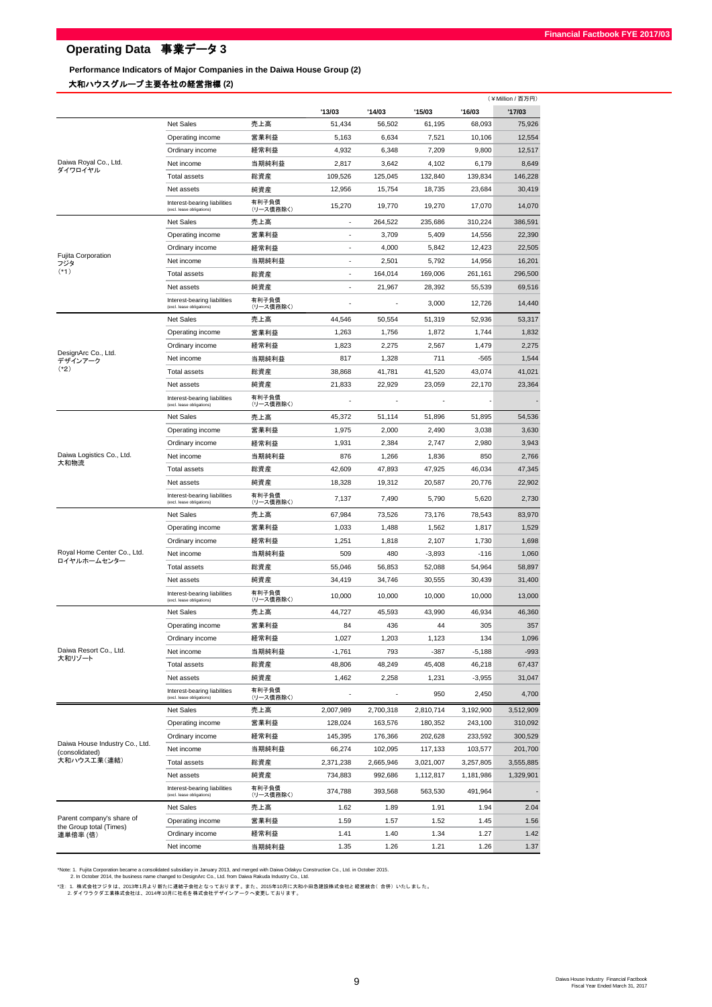**Performance Indicators of Major Companies in the Daiwa House Group (2)**

#### 大和ハウスグループ主要各社の経営指標 **(2)**

|                                                  |                                                           |                    |           |           |           |           | (¥Million / 百万円) |
|--------------------------------------------------|-----------------------------------------------------------|--------------------|-----------|-----------|-----------|-----------|------------------|
|                                                  |                                                           |                    | '13/03    | '14/03    | '15/03    | '16/03    | '17/03           |
|                                                  | Net Sales                                                 | 売上高                | 51,434    | 56,502    | 61,195    | 68,093    | 75,926           |
|                                                  | Operating income                                          | 営業利益               | 5,163     | 6,634     | 7,521     | 10,106    | 12,554           |
|                                                  | Ordinary income                                           | 経常利益               | 4,932     | 6,348     | 7,209     | 9,800     | 12,517           |
| Daiwa Royal Co., Ltd.<br>ダイワロイヤル                 | Net income                                                | 当期純利益              | 2,817     | 3,642     | 4,102     | 6,179     | 8,649            |
|                                                  | <b>Total assets</b>                                       | 総資産                | 109,526   | 125,045   | 132,840   | 139,834   | 146,228          |
|                                                  | Net assets                                                | 純資産                | 12,956    | 15,754    | 18,735    | 23,684    | 30,419           |
|                                                  | Interest-bearing liabilities<br>(excl. lease obligations) | 有利子負債<br>(リース債務除く) | 15,270    | 19,770    | 19,270    | 17,070    | 14,070           |
|                                                  | <b>Net Sales</b>                                          | 売上高                | ÷,        | 264,522   | 235.686   | 310,224   | 386,591          |
|                                                  | Operating income                                          | 営業利益               |           | 3,709     | 5,409     | 14,556    | 22,390           |
|                                                  | Ordinary income                                           | 経常利益               | ٠         | 4,000     | 5,842     | 12,423    | 22,505           |
| Fujita Corporation<br>フジタ                        | Net income                                                | 当期純利益              |           | 2,501     | 5,792     | 14,956    | 16,201           |
| $(*1)$                                           | <b>Total assets</b>                                       | 総資産                | ÷         | 164,014   | 169,006   | 261,161   | 296,500          |
|                                                  | Net assets                                                | 純資産                | ٠         | 21,967    | 28,392    | 55,539    | 69,516           |
|                                                  | Interest-bearing liabilities<br>(excl. lease obligations) | 有利子負債<br>(リース債務除く) |           |           | 3,000     | 12,726    | 14,440           |
|                                                  | Net Sales                                                 | 売上高                | 44,546    | 50,554    | 51,319    | 52,936    | 53,317           |
|                                                  | Operating income                                          | 営業利益               | 1,263     | 1,756     | 1,872     | 1,744     | 1,832            |
|                                                  | Ordinary income                                           | 経常利益               | 1,823     | 2,275     | 2,567     | 1,479     | 2,275            |
| DesignArc Co., Ltd.<br>デザインアーク                   | Net income                                                | 当期純利益              | 817       | 1,328     | 711       | $-565$    | 1,544            |
| $(*2)$                                           | Total assets                                              | 総資産                | 38,868    | 41,781    | 41,520    | 43,074    | 41,021           |
|                                                  | Net assets                                                | 純資産                | 21,833    | 22,929    | 23,059    | 22,170    | 23,364           |
|                                                  | Interest-bearing liabilities<br>(excl. lease obligations) | 有利子負債<br>(リース債務除く) |           |           |           |           |                  |
|                                                  | Net Sales                                                 | 売上高                | 45,372    | 51,114    | 51,896    | 51,895    | 54,536           |
|                                                  | Operating income                                          | 営業利益               | 1,975     | 2,000     | 2,490     | 3,038     | 3,630            |
|                                                  | Ordinary income                                           | 経常利益               | 1,931     | 2,384     | 2,747     | 2,980     | 3,943            |
| Daiwa Logistics Co., Ltd.                        | Net income                                                | 当期純利益              | 876       | 1,266     | 1,836     | 850       | 2,766            |
| 大和物流                                             | <b>Total assets</b>                                       | 総資産                | 42,609    | 47,893    | 47,925    | 46,034    | 47,345           |
|                                                  | Net assets                                                | 純資産                | 18,328    | 19,312    | 20,587    | 20,776    | 22,902           |
|                                                  | Interest-bearing liabilities<br>(excl. lease obligations) | 有利子負債<br>(リース債務除く) | 7,137     | 7,490     | 5,790     | 5,620     | 2,730            |
|                                                  | <b>Net Sales</b>                                          | 売上高                | 67,984    | 73,526    | 73,176    | 78,543    | 83,970           |
|                                                  | Operating income                                          | 営業利益               | 1,033     | 1,488     | 1,562     | 1,817     | 1,529            |
|                                                  | Ordinary income                                           | 経常利益               | 1,251     | 1,818     | 2,107     | 1,730     | 1,698            |
| Royal Home Center Co., Ltd.                      | Net income                                                | 当期純利益              | 509       | 480       | $-3,893$  | $-116$    | 1,060            |
| ロイヤルホームセンター                                      | <b>Total assets</b>                                       | 総資産                | 55,046    | 56,853    | 52,088    | 54,964    | 58,897           |
|                                                  | Net assets                                                |                    |           |           | 30,555    |           |                  |
|                                                  | Interest-bearing liabilities                              | 純資産<br>有利子負債       | 34,419    | 34,746    |           | 30,439    | 31,400           |
|                                                  | (excl. lease obligations)                                 | (リース債務除く)          | 10,000    | 10,000    | 10,000    | 10,000    | 13,000           |
|                                                  | Net Sales                                                 | 売上高                | 44,727    | 45,593    | 43,990    | 46,934    | 46,360           |
|                                                  | Operating income                                          | 営業利益               | 84        | 436       | 44        | 305       | 357              |
|                                                  | Ordinary income                                           | 経常利益               | 1,027     | 1,203     | 1,123     | 134       | 1,096            |
| Daiwa Resort Co., Ltd.<br>大和リゾート                 | Net income                                                | 当期純利益              | $-1,761$  | 793       | $-387$    | $-5,188$  | $-993$           |
|                                                  | <b>Total assets</b>                                       | 総資産                | 48,806    | 48,249    | 45,408    | 46,218    | 67,437           |
|                                                  | Net assets                                                | 純資産                | 1,462     | 2,258     | 1,231     | $-3,955$  | 31,047           |
|                                                  | Interest-bearing liabilities<br>(excl. lease obligations) | 有利子負債<br>(リース債務除く) |           |           | 950       | 2,450     | 4,700            |
|                                                  | Net Sales                                                 | 売上高                | 2,007,989 | 2,700,318 | 2,810,714 | 3,192,900 | 3,512,909        |
|                                                  | Operating income                                          | 営業利益               | 128,024   | 163,576   | 180,352   | 243,100   | 310,092          |
|                                                  | Ordinary income                                           | 経常利益               | 145,395   | 176,366   | 202,628   | 233,592   | 300,529          |
| Daiwa House Industry Co., Ltd.<br>(consolidated) | Net income                                                | 当期純利益              | 66,274    | 102,095   | 117,133   | 103,577   | 201,700          |
| 大和ハウス工業(連結)                                      | <b>Total assets</b>                                       | 総資産                | 2,371,238 | 2,665,946 | 3,021,007 | 3,257,805 | 3,555,885        |
|                                                  | Net assets                                                | 純資産                | 734,883   | 992,686   | 1,112,817 | 1,181,986 | 1,329,901        |
|                                                  | Interest-bearing liabilities<br>(excl. lease obligations) | 有利子負債<br>(リース債務除く) | 374,788   | 393,568   | 563,530   | 491,964   |                  |
|                                                  | Net Sales                                                 | 売上高                | 1.62      | 1.89      | 1.91      | 1.94      | 2.04             |
| Parent company's share of                        | Operating income                                          | 営業利益               | 1.59      | 1.57      | 1.52      | 1.45      | 1.56             |
| the Group total (Times)<br>連単倍率 (倍)              | Ordinary income                                           | 経常利益               | 1.41      | 1.40      | 1.34      | 1.27      | 1.42             |
|                                                  | Net income                                                | 当期純利益              | 1.35      | 1.26      | 1.21      | 1.26      | 1.37             |

Note: 1. Fujita Corporation became a consolidated subsidiary in January 2013, and merged with Daiwa Odakyu Construction Co., Ltd. in October 2015.<br>2. In October 2014, the business name changed to DesignArc Co., Ltd. from D

\*注:1. 株式会社フジタは、2013年1月より新たに連結子会社となっております。また、2015年10月に大和小田急建設株式会社と経営統合( 合併) いたしました。<br>- 2.ダイワラクダ工業株式会社は、2014年10月に社名を株式会社デザインアークへ変更しております。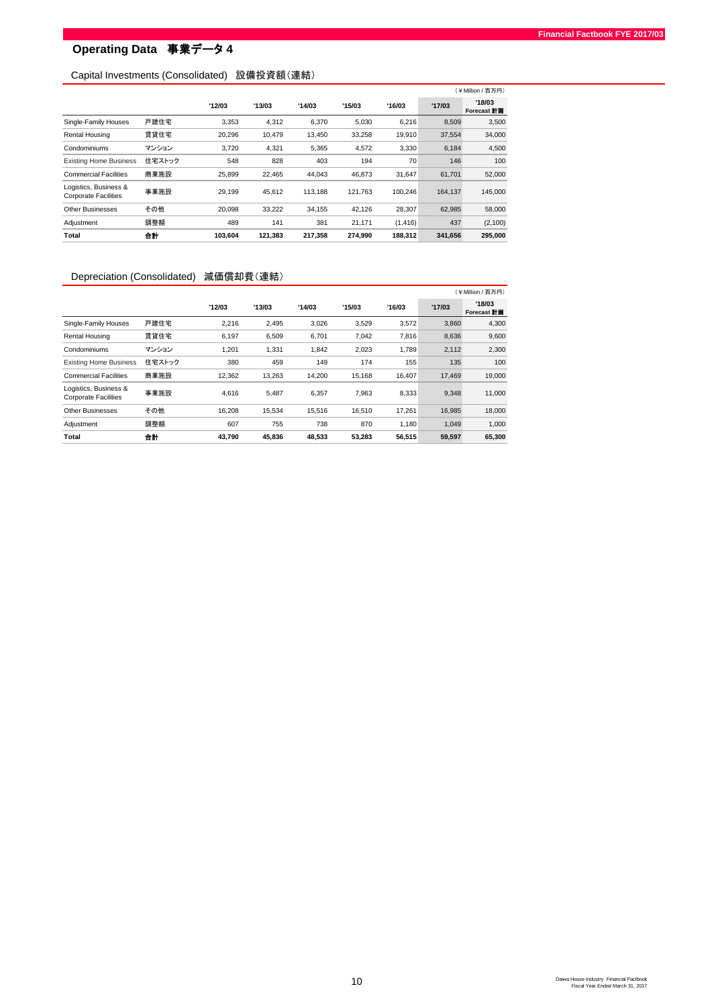## Capital Investments (Consolidated) 設備投資額(連結)

|                                                      |        |         |         |         |         |          |         | (¥Million/百万円)        |
|------------------------------------------------------|--------|---------|---------|---------|---------|----------|---------|-----------------------|
|                                                      |        | '12/03  | '13/03  | '14/03  | '15/03  | '16/03   | '17/03  | '18/03<br>Forecast 計画 |
| Single-Family Houses                                 | 戸建住宅   | 3.353   | 4,312   | 6,370   | 5,030   | 6,216    | 8,509   | 3,500                 |
| Rental Housing                                       | 賃貸住宅   | 20,296  | 10.479  | 13.450  | 33.258  | 19,910   | 37,554  | 34,000                |
| Condominiums                                         | マンション  | 3,720   | 4,321   | 5,365   | 4,572   | 3,330    | 6,184   | 4,500                 |
| <b>Existing Home Business</b>                        | 住宅ストック | 548     | 828     | 403     | 194     | 70       | 146     | 100                   |
| <b>Commercial Facilities</b>                         | 商業施設   | 25.899  | 22.465  | 44,043  | 46.873  | 31.647   | 61.701  | 52,000                |
| Logistics, Business &<br><b>Corporate Facilities</b> | 事業施設   | 29.199  | 45.612  | 113.188 | 121.763 | 100.246  | 164.137 | 145,000               |
| Other Businesses                                     | その他    | 20.098  | 33.222  | 34,155  | 42.126  | 28.307   | 62.985  | 58,000                |
| Adjustment                                           | 調整額    | 489     | 141     | 381     | 21.171  | (1, 416) | 437     | (2,100)               |
| Total                                                | 合計     | 103.604 | 121,383 | 217,358 | 274,990 | 188,312  | 341,656 | 295,000               |

## Depreciation (Consolidated) 減価償却費(連結)

|                                                      |        |        |        |        |        |        |        | (¥Million / 百万円)             |
|------------------------------------------------------|--------|--------|--------|--------|--------|--------|--------|------------------------------|
|                                                      |        | '12/03 | '13/03 | '14/03 | '15/03 | '16/03 | '17/03 | '18/03<br>Forecast <b>計画</b> |
| Single-Family Houses                                 | 戸建住宅   | 2,216  | 2.495  | 3,026  | 3,529  | 3,572  | 3,860  | 4,300                        |
| Rental Housing                                       | 賃貸住宅   | 6.197  | 6.509  | 6,701  | 7.042  | 7,816  | 8,636  | 9,600                        |
| Condominiums                                         | マンション  | 1,201  | 1.331  | 1,842  | 2,023  | 1.789  | 2,112  | 2,300                        |
| <b>Existing Home Business</b>                        | 住宅ストック | 380    | 459    | 149    | 174    | 155    | 135    | 100                          |
| <b>Commercial Facilities</b>                         | 商業施設   | 12,362 | 13,263 | 14,200 | 15,168 | 16,407 | 17,469 | 19,000                       |
| Logistics, Business &<br><b>Corporate Facilities</b> | 事業施設   | 4,616  | 5,487  | 6,357  | 7,963  | 8,333  | 9,348  | 11,000                       |
| Other Businesses                                     | その他    | 16.208 | 15.534 | 15.516 | 16.510 | 17.261 | 16.985 | 18.000                       |
| Adjustment                                           | 調整額    | 607    | 755    | 738    | 870    | 1,180  | 1,049  | 1,000                        |
| Total                                                | 合計     | 43.790 | 45.836 | 48,533 | 53,283 | 56,515 | 59,597 | 65,300                       |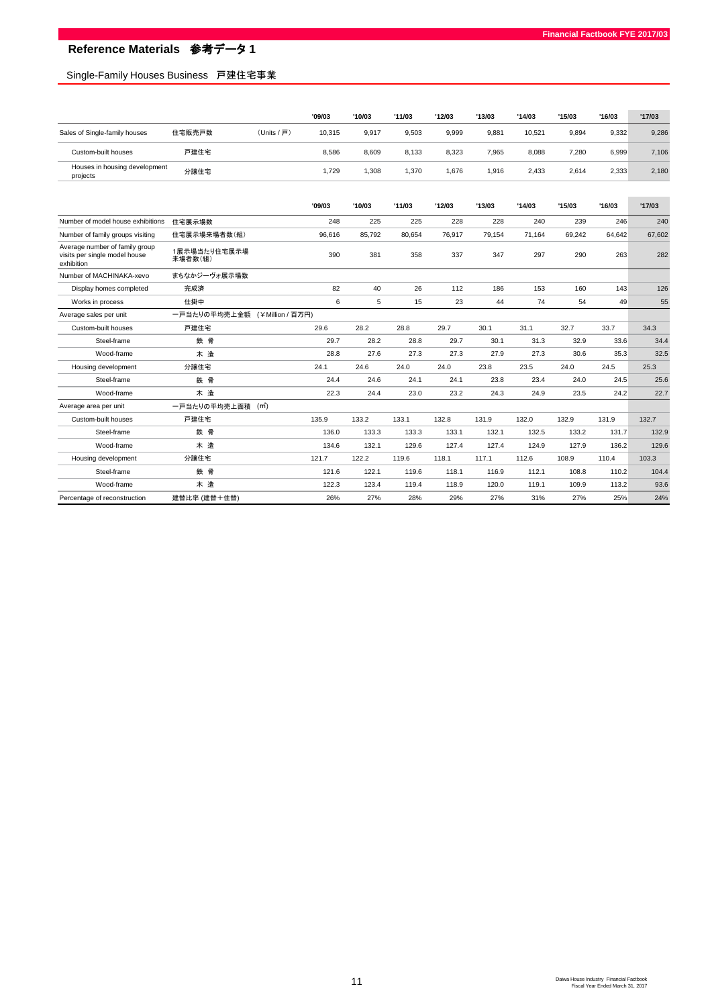# Single-Family Houses Business 戸建住宅事業

|                                           |        |             | '09/03 | '10/03 | '11/03 | '12/03 | '13/03 | '14/03 | '15/03 | '16/03 | '17/03 |
|-------------------------------------------|--------|-------------|--------|--------|--------|--------|--------|--------|--------|--------|--------|
| Sales of Single-family houses             | 住宅販売戸数 | (Units / 戸) | 10.315 | 9,917  | 9.503  | 9,999  | 9,881  | 10.521 | 9.894  | 9,332  | 9,286  |
| Custom-built houses                       | 戸建住宅   |             | 8.586  | 8,609  | 8.133  | 8,323  | 7.965  | 8,088  | 7.280  | 6,999  | 7,106  |
| Houses in housing development<br>projects | 分譲住宅   |             | 1.729  | .308   | 1.370  | 1.676  | .916   | 2.433  | 2.614  | 2,333  | 2,180  |

|                                                                               |                                | '09/03 | '10/03 | '11/03 | '12/03 | '13/03 | '14/03 | '15/03 | '16/03 | '17/03 |
|-------------------------------------------------------------------------------|--------------------------------|--------|--------|--------|--------|--------|--------|--------|--------|--------|
| Number of model house exhibitions                                             | 住宅展示場数                         | 248    | 225    | 225    | 228    | 228    | 240    | 239    | 246    | 240    |
| Number of family groups visiting                                              | 住宅展示場来場者数(組)                   | 96.616 | 85.792 | 80.654 | 76.917 | 79.154 | 71.164 | 69.242 | 64.642 | 67.602 |
| Average number of family group<br>visits per single model house<br>exhibition | 1展示場当たり住宅展示場<br>来場者数(組)        | 390    | 381    | 358    | 337    | 347    | 297    | 290    | 263    | 282    |
| Number of MACHINAKA-xevo                                                      | まちなかジーヴォ展示場数                   |        |        |        |        |        |        |        |        |        |
| Display homes completed                                                       | 完成済                            | 82     | 40     | 26     | 112    | 186    | 153    | 160    | 143    | 126    |
| Works in process                                                              | 仕掛中                            | 6      | 5      | 15     | 23     | 44     | 74     | 54     | 49     | 55     |
| Average sales per unit                                                        | 一戸当たりの平均売上金額 (¥Million / 百万円)  |        |        |        |        |        |        |        |        |        |
| Custom-built houses                                                           | 戸建住宅                           | 29.6   | 28.2   | 28.8   | 29.7   | 30.1   | 31.1   | 32.7   | 33.7   | 34.3   |
| Steel-frame                                                                   | 鉄骨                             | 29.7   | 28.2   | 28.8   | 29.7   | 30.1   | 31.3   | 32.9   | 33.6   | 34.4   |
| Wood-frame                                                                    | 木造                             | 28.8   | 27.6   | 27.3   | 27.3   | 27.9   | 27.3   | 30.6   | 35.3   | 32.5   |
| Housing development                                                           | 分譲住宅                           | 24.1   | 24.6   | 24.0   | 24.0   | 23.8   | 23.5   | 24.0   | 24.5   | 25.3   |
| Steel-frame                                                                   | 鉄骨                             | 24.4   | 24.6   | 24.1   | 24.1   | 23.8   | 23.4   | 24.0   | 24.5   | 25.6   |
| Wood-frame                                                                    | 木造                             | 22.3   | 24.4   | 23.0   | 23.2   | 24.3   | 24.9   | 23.5   | 24.2   | 22.7   |
| Average area per unit                                                         | 一戸当たりの平均売上面積 (m <sup>2</sup> ) |        |        |        |        |        |        |        |        |        |
| Custom-built houses                                                           | 戸建住宅                           | 135.9  | 133.2  | 133.1  | 132.8  | 131.9  | 132.0  | 132.9  | 131.9  | 132.7  |
| Steel-frame                                                                   | 鉄骨                             | 136.0  | 133.3  | 133.3  | 133.1  | 132.1  | 132.5  | 133.2  | 131.7  | 132.9  |
| Wood-frame                                                                    | 木造                             | 134.6  | 132.1  | 129.6  | 127.4  | 127.4  | 124.9  | 127.9  | 136.2  | 129.6  |
| Housing development                                                           | 分譲住宅                           | 121.7  | 122.2  | 119.6  | 118.1  | 117.1  | 112.6  | 108.9  | 110.4  | 103.3  |
| Steel-frame                                                                   | 鉄骨                             | 121.6  | 122.1  | 119.6  | 118.1  | 116.9  | 112.1  | 108.8  | 110.2  | 104.4  |
| Wood-frame                                                                    | 木造                             | 122.3  | 123.4  | 119.4  | 118.9  | 120.0  | 119.1  | 109.9  | 113.2  | 93.6   |
| Percentage of reconstruction                                                  | 建替比率 (建替+住替)                   | 26%    | 27%    | 28%    | 29%    | 27%    | 31%    | 27%    | 25%    | 24%    |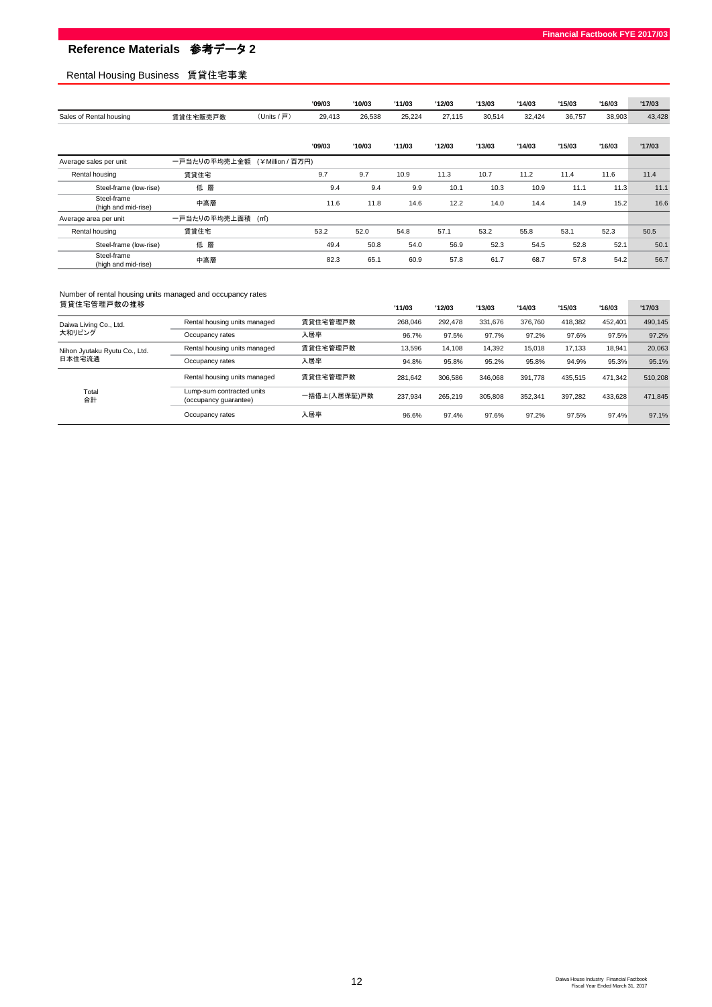## Rental Housing Business 賃貸住宅事業

|                                    |              |                  | '09/03 | '10/03 | '11/03 | '12/03 | '13/03 | '14/03 | '15/03 | '16/03 | '17/03 |
|------------------------------------|--------------|------------------|--------|--------|--------|--------|--------|--------|--------|--------|--------|
| Sales of Rental housing            | 賃貸住宅販売戸数     | (Units / 戸)      | 29,413 | 26,538 | 25,224 | 27,115 | 30,514 | 32,424 | 36,757 | 38,903 | 43,428 |
|                                    |              |                  |        |        |        |        |        |        |        |        |        |
|                                    |              |                  | '09/03 | '10/03 | '11/03 | '12/03 | '13/03 | '14/03 | '15/03 | '16/03 | '17/03 |
| Average sales per unit             | 一戸当たりの平均売上金額 | (¥Million / 百万円) |        |        |        |        |        |        |        |        |        |
| Rental housing                     | 賃貸住宅         |                  | 9.7    | 9.7    | 10.9   | 11.3   | 10.7   | 11.2   | 11.4   | 11.6   | 11.4   |
| Steel-frame (low-rise)             | 低層           |                  | 9.4    | 9.4    | 9.9    | 10.1   | 10.3   | 10.9   | 11.1   | 11.3   | 11.1   |
| Steel-frame<br>(high and mid-rise) | 中高層          |                  | 11.6   | 11.8   | 14.6   | 12.2   | 14.0   | 14.4   | 14.9   | 15.2   | 16.6   |
| Average area per unit              | 一戸当たりの平均売上面積 | (m.)             |        |        |        |        |        |        |        |        |        |
| Rental housing                     | 賃貸住宅         |                  | 53.2   | 52.0   | 54.8   | 57.1   | 53.2   | 55.8   | 53.1   | 52.3   | 50.5   |
| Steel-frame (low-rise)             | 低層           |                  | 49.4   | 50.8   | 54.0   | 56.9   | 52.3   | 54.5   | 52.8   | 52.1   | 50.1   |
| Steel-frame<br>(high and mid-rise) | 中高層          |                  | 82.3   | 65.1   | 60.9   | 57.8   | 61.7   | 68.7   | 57.8   | 54.2   | 56.7   |

# Number of rental housing units managed and occupancy rates

| 賃貸住宅管理戸数の推移                             |                                                    |              | '11/03  | '12/03  | '13/03  | '14/03  | '15/03  | '16/03  | '17/03  |
|-----------------------------------------|----------------------------------------------------|--------------|---------|---------|---------|---------|---------|---------|---------|
| Daiwa Living Co., Ltd.                  | Rental housing units managed                       | 賃貸住宅管理戸数     | 268.046 | 292.478 | 331.676 | 376.760 | 418.382 | 452.401 | 490.145 |
| 大和リビング                                  | Occupancy rates                                    | 入居率          | 96.7%   | 97.5%   | 97.7%   | 97.2%   | 97.6%   | 97.5%   | 97.2%   |
| Nihon Jyutaku Ryutu Co., Ltd.<br>日本住宅流通 | Rental housing units managed                       | 賃貸住宅管理戸数     | 13.596  | 14.108  | 14.392  | 15.018  | 17.133  | 18.941  | 20.063  |
|                                         | Occupancy rates                                    | 入居率          | 94.8%   | 95.8%   | 95.2%   | 95.8%   | 94.9%   | 95.3%   | 95.1%   |
|                                         | Rental housing units managed                       | 賃貸住宅管理戸数     | 281.642 | 306.586 | 346.068 | 391.778 | 435.515 | 471.342 | 510.208 |
| Total<br>合計                             | Lump-sum contracted units<br>(occupancy quarantee) | 一括借上(入居保証)戸数 | 237.934 | 265.219 | 305.808 | 352.341 | 397.282 | 433.628 | 471.845 |
|                                         | Occupancy rates                                    | 入居率          | 96.6%   | 97.4%   | 97.6%   | 97.2%   | 97.5%   | 97.4%   | 97.1%   |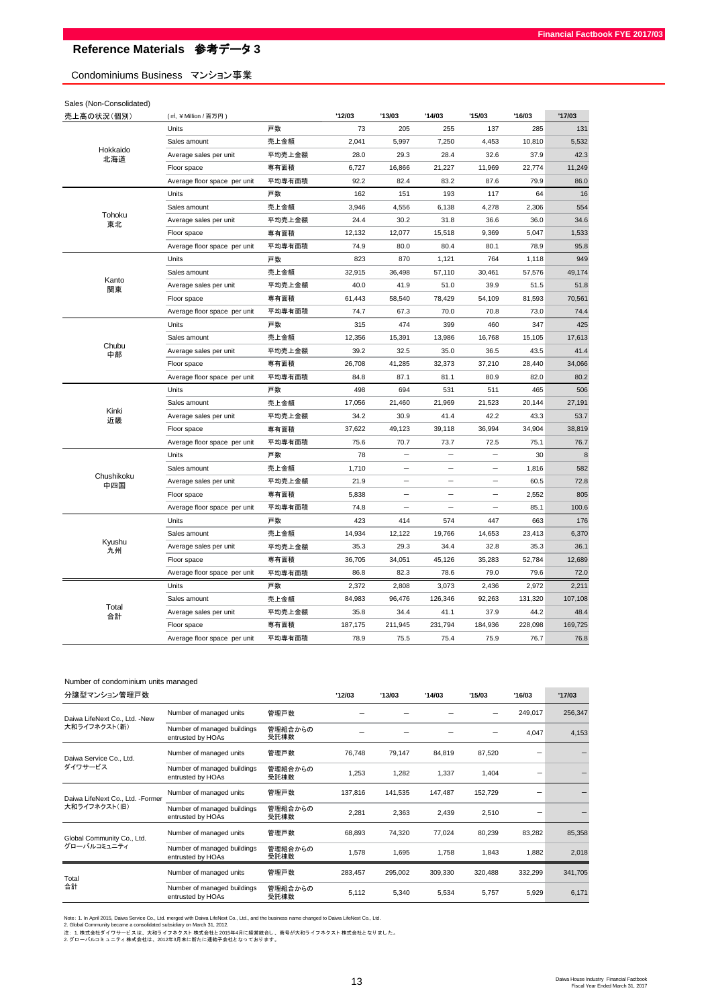Condominiums Business マンション事業

Sales (Non-Consolidated)

| 売上高の状況(個別)           | (m, ¥ Million / 百万円)         |        | '12/03  | '13/03                   | '14/03   | '15/03                   | '16/03  | '17/03  |
|----------------------|------------------------------|--------|---------|--------------------------|----------|--------------------------|---------|---------|
|                      | Units                        | 戸数     | 73      | 205                      | 255      | 137                      | 285     | 131     |
|                      | Sales amount                 | 売上金額   | 2,041   | 5,997                    | 7,250    | 4,453                    | 10,810  | 5,532   |
| Hokkaido<br>北海道      | Average sales per unit       | 平均売上金額 | 28.0    | 29.3                     | 28.4     | 32.6                     | 37.9    | 42.3    |
|                      | Floor space                  | 専有面積   | 6,727   | 16,866                   | 21,227   | 11,969                   | 22,774  | 11,249  |
|                      | Average floor space per unit | 平均専有面積 | 92.2    | 82.4                     | 83.2     | 87.6                     | 79.9    | 86.0    |
|                      | Units                        | 戸数     | 162     | 151                      | 193      | 117                      | 64      | 16      |
|                      | Sales amount                 | 売上金額   | 3,946   | 4,556                    | 6,138    | 4,278                    | 2,306   | 554     |
| Tohoku<br>東北         | Average sales per unit       | 平均売上金額 | 24.4    | 30.2                     | 31.8     | 36.6                     | 36.0    | 34.6    |
|                      | Floor space                  | 専有面積   | 12,132  | 12,077                   | 15,518   | 9,369                    | 5,047   | 1,533   |
|                      | Average floor space per unit | 平均専有面積 | 74.9    | 80.0                     | 80.4     | 80.1                     | 78.9    | 95.8    |
|                      | Units                        | 戸数     | 823     | 870                      | 1,121    | 764                      | 1,118   | 949     |
|                      | Sales amount                 | 売上金額   | 32,915  | 36,498                   | 57,110   | 30,461                   | 57,576  | 49,174  |
| Kanto<br>関東          | Average sales per unit       | 平均売上金額 | 40.0    | 41.9                     | 51.0     | 39.9                     | 51.5    | 51.8    |
|                      | Floor space                  | 専有面積   | 61,443  | 58,540                   | 78,429   | 54,109                   | 81,593  | 70,561  |
|                      | Average floor space per unit | 平均専有面積 | 74.7    | 67.3                     | 70.0     | 70.8                     | 73.0    | 74.4    |
|                      | Units                        | 戸数     | 315     | 474                      | 399      | 460                      | 347     | 425     |
|                      | Sales amount                 | 売上金額   | 12,356  | 15,391                   | 13,986   | 16,768                   | 15,105  | 17,613  |
|                      | Average sales per unit       | 平均売上金額 | 39.2    | 32.5                     | 35.0     | 36.5                     | 43.5    | 41.4    |
| Chubu<br>中部<br>Kinki | Floor space                  | 専有面積   | 26,708  | 41,285                   | 32,373   | 37,210                   | 28,440  | 34,066  |
|                      | Average floor space per unit | 平均専有面積 | 84.8    | 87.1                     | 81.1     | 80.9                     | 82.0    | 80.2    |
|                      | Units                        | 戸数     | 498     | 694                      | 531      | 511                      | 465     | 506     |
|                      | Sales amount                 | 売上金額   | 17,056  | 21,460                   | 21,969   | 21,523                   | 20,144  | 27,191  |
| 近畿                   | Average sales per unit       | 平均売上金額 | 34.2    | 30.9                     | 41.4     | 42.2                     | 43.3    | 53.7    |
|                      | Floor space                  | 専有面積   | 37,622  | 49,123                   | 39,118   | 36,994                   | 34,904  | 38,819  |
|                      | Average floor space per unit | 平均専有面積 | 75.6    | 70.7                     | 73.7     | 72.5                     | 75.1    | 76.7    |
|                      | Units                        | 戸数     | 78      | $\equiv$                 |          |                          | 30      | $\bf8$  |
|                      | Sales amount                 | 売上金額   | 1,710   | $\overline{\phantom{0}}$ | $\equiv$ | $\equiv$                 | 1,816   | 582     |
| Chushikoku<br>中四国    | Average sales per unit       | 平均売上金額 | 21.9    |                          |          |                          | 60.5    | 72.8    |
|                      | Floor space                  | 専有面積   | 5,838   | $\equiv$                 | $\equiv$ |                          | 2,552   | 805     |
|                      | Average floor space per unit | 平均専有面積 | 74.8    | $\equiv$                 | $=$      | $\overline{\phantom{0}}$ | 85.1    | 100.6   |
|                      | Units                        | 戸数     | 423     | 414                      | 574      | 447                      | 663     | 176     |
|                      | Sales amount                 | 売上金額   | 14,934  | 12,122                   | 19,766   | 14,653                   | 23,413  | 6,370   |
| Kyushu<br>九州         | Average sales per unit       | 平均売上金額 | 35.3    | 29.3                     | 34.4     | 32.8                     | 35.3    | 36.1    |
|                      | Floor space                  | 専有面積   | 36,705  | 34,051                   | 45,126   | 35,283                   | 52,784  | 12,689  |
|                      | Average floor space per unit | 平均専有面積 | 86.8    | 82.3                     | 78.6     | 79.0                     | 79.6    | 72.0    |
|                      | Units                        | 戸数     | 2,372   | 2,808                    | 3,073    | 2,436                    | 2,972   | 2,211   |
|                      | Sales amount                 | 売上金額   | 84,983  | 96,476                   | 126,346  | 92,263                   | 131,320 | 107,108 |
| Total<br>合計          | Average sales per unit       | 平均売上金額 | 35.8    | 34.4                     | 41.1     | 37.9                     | 44.2    | 48.4    |
|                      | Floor space                  | 専有面積   | 187,175 | 211,945                  | 231,794  | 184,936                  | 228,098 | 169,725 |
|                      | Average floor space per unit | 平均専有面積 | 78.9    | 75.5                     | 75.4     | 75.9                     | 76.7    | 76.8    |

#### Number of condominium units managed

| нчиться от солдоння мин анко-ткандара |                                                  |                                                                                                                                                                                                                                                                                                                                                                                      |        |        |        |        |         |         |
|---------------------------------------|--------------------------------------------------|--------------------------------------------------------------------------------------------------------------------------------------------------------------------------------------------------------------------------------------------------------------------------------------------------------------------------------------------------------------------------------------|--------|--------|--------|--------|---------|---------|
| 分譲型マンション管理戸数                          |                                                  |                                                                                                                                                                                                                                                                                                                                                                                      | '12/03 | '13/03 | '14/03 | '15/03 | '16/03  | '17/03  |
| Daiwa LifeNext Co., Ltd. -New         | Number of managed units                          | 管理戸数                                                                                                                                                                                                                                                                                                                                                                                 |        |        |        |        | 249,017 | 256,347 |
| 大和ライフネクスト(新)                          | Number of managed buildings<br>entrusted by HOAs | 管理組合からの<br>受託棟数                                                                                                                                                                                                                                                                                                                                                                      |        |        |        |        | 4,047   | 4,153   |
| Daiwa Service Co., Ltd.               | Number of managed units                          | 84,819<br>87,520<br>管理戸数<br>76,748<br>79,147<br>管理組合からの<br>1,282<br>1,253<br>1,337<br>1,404<br>受託棟数<br>管理戸数<br>152,729<br>137,816<br>141,535<br>147,487<br>管理組合からの<br>2,281<br>2,363<br>2,510<br>2,439<br>受託棟数<br>管理戸数<br>74,320<br>77,024<br>80,239<br>68,893<br>管理組合からの<br>1,578<br>1,695<br>1,758<br>1,843<br>受託棟数<br>管理戸数<br>283,457<br>295,002<br>309,330<br>320,488<br>管理組合からの |        |        |        |        |         |         |
| ダイワサービス                               | Number of managed buildings<br>entrusted by HOAs |                                                                                                                                                                                                                                                                                                                                                                                      |        |        |        |        |         |         |
| Daiwa LifeNext Co., Ltd. - Former     | Number of managed units                          |                                                                                                                                                                                                                                                                                                                                                                                      |        |        |        |        |         |         |
| 大和ライフネクスト(旧)                          | Number of managed buildings<br>entrusted by HOAs |                                                                                                                                                                                                                                                                                                                                                                                      |        |        |        |        |         |         |
| Global Community Co., Ltd.            | Number of managed units                          |                                                                                                                                                                                                                                                                                                                                                                                      |        |        |        |        | 83,282  | 85,358  |
| グローバルコミュニティ                           | Number of managed buildings<br>entrusted by HOAs |                                                                                                                                                                                                                                                                                                                                                                                      |        |        |        |        | 1,882   | 2,018   |
| Total                                 | Number of managed units                          |                                                                                                                                                                                                                                                                                                                                                                                      |        |        |        |        | 332,299 | 341,705 |
| 合計                                    | Number of managed buildings<br>entrusted by HOAs | 受託棟数                                                                                                                                                                                                                                                                                                                                                                                 | 5,112  | 5,340  | 5,534  | 5,757  | 5,929   | 6,171   |

Note : 1. In April 2015, Daiwa Service Co., Ltd. merged with Daiwa LifeNext Co., Ltd., and the business name changed to Daiwa LifeNext Co., Ltd.<br>注. Citbal Community became a consolidated subsidiary on March 31, 2012.<br>注: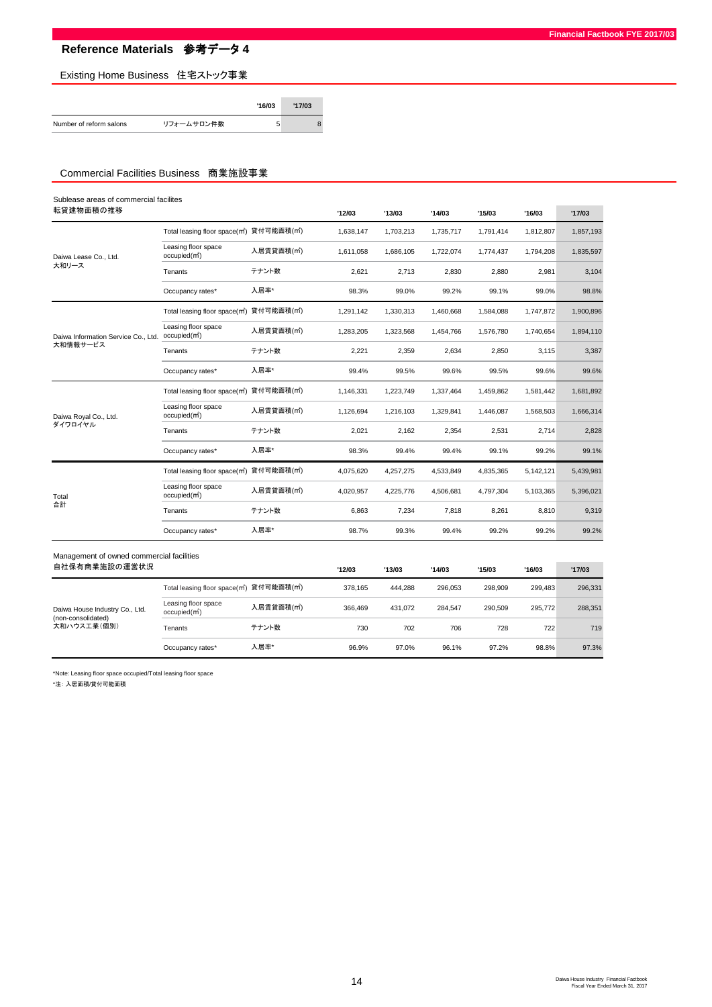**Financial Factbook FYE 2017/03**

Existing Home Business 住宅ストック事業

|                         |            | '16/03 | '17/03 |  |
|-------------------------|------------|--------|--------|--|
| Number of reform salons | リフォームサロン件数 | 5      |        |  |

### Commercial Facilities Business 商業施設事業

| Sublease areas of commercial facilites                      |                                                                                                                                                                                                                                                                                                                                                                                                                                                                                                                                                                                                                                                                                                                                                                                                                |           |           |           |           |           |           |           |
|-------------------------------------------------------------|----------------------------------------------------------------------------------------------------------------------------------------------------------------------------------------------------------------------------------------------------------------------------------------------------------------------------------------------------------------------------------------------------------------------------------------------------------------------------------------------------------------------------------------------------------------------------------------------------------------------------------------------------------------------------------------------------------------------------------------------------------------------------------------------------------------|-----------|-----------|-----------|-----------|-----------|-----------|-----------|
| 転貸建物面積の推移                                                   |                                                                                                                                                                                                                                                                                                                                                                                                                                                                                                                                                                                                                                                                                                                                                                                                                |           | '12/03    | '13/03    | '14/03    | '15/03    | '16/03    | '17/03    |
|                                                             |                                                                                                                                                                                                                                                                                                                                                                                                                                                                                                                                                                                                                                                                                                                                                                                                                |           | 1,638,147 | 1,703,213 | 1,735,717 | 1,791,414 | 1,812,807 | 1,857,193 |
| Daiwa Lease Co., Ltd.                                       | Leasing floor space<br>occupied(m <sup>2</sup> )                                                                                                                                                                                                                                                                                                                                                                                                                                                                                                                                                                                                                                                                                                                                                               | 入居賃貸面積(㎡) | 1,611,058 | 1,686,105 | 1,722,074 | 1,774,437 | 1,794,208 | 1,835,597 |
| 大和リース                                                       | Tenants                                                                                                                                                                                                                                                                                                                                                                                                                                                                                                                                                                                                                                                                                                                                                                                                        | テナント数     | 2,621     | 2,713     | 2,830     | 2,880     | 2,981     | 3,104     |
|                                                             | Total leasing floor space(m2) 貸付可能面積(m2)<br>入居率*<br>Occupancy rates*<br>Total leasing floor space(m2) 貸付可能面積(m2)<br>Leasing floor space<br>入居賃貸面積(m゚)<br>occupied(m <sup>2</sup> )<br>テナント数<br>Tenants<br>入居率*<br>Occupancy rates*<br>Total leasing floor space(m2) 貸付可能面積(m2)<br>Leasing floor space<br>入居賃貸面積(㎡)<br>occupied(m <sup>2</sup> )<br>テナント数<br>Tenants<br>入居率*<br>Occupancy rates*<br>Total leasing floor space(m <sup>2</sup> ) 貸付可能面積(m <sup>2</sup> )<br>Leasing floor space<br>入居賃貸面積(m <sup>2</sup> )<br>occupied(m <sup>2</sup> )<br>テナント数<br>Tenants<br>入居率*<br>Occupancy rates*<br>Management of owned commercial facilities<br>Total leasing floor space(m2) 貸付可能面積(m2)<br>Leasing floor space<br>入居賃貸面積(㎡)<br>occupied(m <sup>2</sup> )<br>テナント数<br>Tenants<br>入居率*<br>Occupancy rates* | 98.3%     | 99.0%     | 99.2%     | 99.1%     | 99.0%     | 98.8%     |           |
|                                                             |                                                                                                                                                                                                                                                                                                                                                                                                                                                                                                                                                                                                                                                                                                                                                                                                                |           | 1.291.142 | 1.330.313 | 1.460.668 | 1,584,088 | 1,747,872 | 1,900,896 |
| Daiwa Information Service Co., Ltd.                         |                                                                                                                                                                                                                                                                                                                                                                                                                                                                                                                                                                                                                                                                                                                                                                                                                |           | 1,283,205 | 1,323,568 | 1,454,766 | 1,576,780 | 1,740,654 | 1,894,110 |
|                                                             |                                                                                                                                                                                                                                                                                                                                                                                                                                                                                                                                                                                                                                                                                                                                                                                                                |           | 2.221     | 2,359     | 2,634     | 2,850     | 3,115     | 3,387     |
|                                                             |                                                                                                                                                                                                                                                                                                                                                                                                                                                                                                                                                                                                                                                                                                                                                                                                                |           | 99.4%     | 99.5%     | 99.6%     | 99.5%     | 99.6%     | 99.6%     |
| 大和情報サービス<br>Daiwa Royal Co., Ltd.<br>ダイワロイヤル<br>Total<br>合計 |                                                                                                                                                                                                                                                                                                                                                                                                                                                                                                                                                                                                                                                                                                                                                                                                                |           | 1,146,331 | 1,223,749 | 1,337,464 | 1,459,862 | 1,581,442 | 1,681,892 |
|                                                             |                                                                                                                                                                                                                                                                                                                                                                                                                                                                                                                                                                                                                                                                                                                                                                                                                |           | 1.126.694 | 1.216.103 | 1.329.841 | 1,446,087 | 1,568,503 | 1,666,314 |
|                                                             |                                                                                                                                                                                                                                                                                                                                                                                                                                                                                                                                                                                                                                                                                                                                                                                                                |           | 2,021     | 2,162     | 2,354     | 2,531     | 2,714     | 2,828     |
|                                                             |                                                                                                                                                                                                                                                                                                                                                                                                                                                                                                                                                                                                                                                                                                                                                                                                                |           | 98.3%     | 99.4%     | 99.4%     | 99.1%     | 99.2%     | 99.1%     |
|                                                             |                                                                                                                                                                                                                                                                                                                                                                                                                                                                                                                                                                                                                                                                                                                                                                                                                |           | 4,075,620 | 4,257,275 | 4,533,849 | 4,835,365 | 5,142,121 | 5,439,981 |
|                                                             |                                                                                                                                                                                                                                                                                                                                                                                                                                                                                                                                                                                                                                                                                                                                                                                                                |           | 4,020,957 | 4,225,776 | 4,506,681 | 4,797,304 | 5,103,365 | 5,396,021 |
|                                                             |                                                                                                                                                                                                                                                                                                                                                                                                                                                                                                                                                                                                                                                                                                                                                                                                                |           | 6,863     | 7,234     | 7,818     | 8,261     | 8,810     | 9,319     |
|                                                             |                                                                                                                                                                                                                                                                                                                                                                                                                                                                                                                                                                                                                                                                                                                                                                                                                |           | 98.7%     | 99.3%     | 99.4%     | 99.2%     | 99.2%     | 99.2%     |
|                                                             |                                                                                                                                                                                                                                                                                                                                                                                                                                                                                                                                                                                                                                                                                                                                                                                                                |           |           |           |           |           |           |           |
| 自社保有商業施設の運営状況                                               |                                                                                                                                                                                                                                                                                                                                                                                                                                                                                                                                                                                                                                                                                                                                                                                                                |           | '12/03    | '13/03    | '14/03    | '15/03    | '16/03    | '17/03    |
|                                                             |                                                                                                                                                                                                                                                                                                                                                                                                                                                                                                                                                                                                                                                                                                                                                                                                                |           | 378,165   | 444,288   | 296,053   | 298,909   | 299,483   | 296,331   |
| Daiwa House Industry Co., Ltd.<br>(non-consolidated)        |                                                                                                                                                                                                                                                                                                                                                                                                                                                                                                                                                                                                                                                                                                                                                                                                                |           | 366,469   | 431,072   | 284,547   | 290,509   | 295,772   | 288,351   |
| 大和ハウス工業(個別)                                                 |                                                                                                                                                                                                                                                                                                                                                                                                                                                                                                                                                                                                                                                                                                                                                                                                                |           | 730       | 702       | 706       | 728       | 722       | 719       |
|                                                             |                                                                                                                                                                                                                                                                                                                                                                                                                                                                                                                                                                                                                                                                                                                                                                                                                |           | 96.9%     | 97.0%     | 96.1%     | 97.2%     | 98.8%     | 97.3%     |

\*Note: Leasing floor space occupied/Total leasing floor space

\*注: 入居面積/貸付可能面積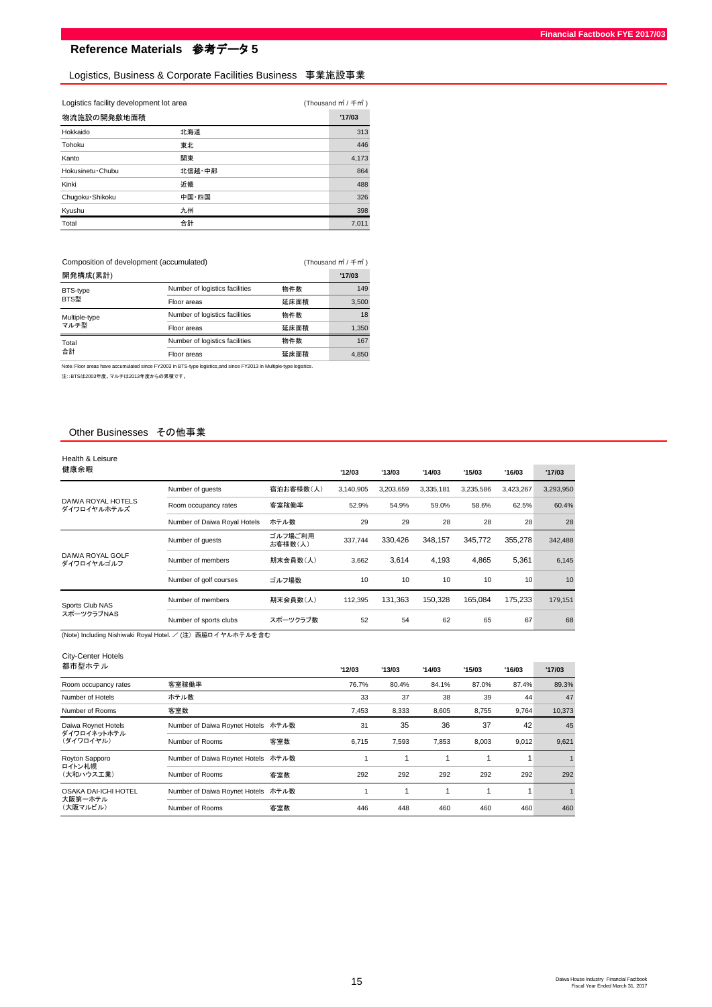## Logistics, Business & Corporate Facilities Business 事業施設事業

| Logistics facility development lot area | (Thousand m <sup>2</sup> / 千m <sup>2</sup> ) |        |
|-----------------------------------------|----------------------------------------------|--------|
| 物流施設の開発敷地面積                             |                                              | '17/03 |
| Hokkaido                                | 北海道                                          | 313    |
| Tohoku                                  | 東北                                           | 446    |
| Kanto                                   | 関東                                           | 4.173  |
| Hokusinetu · Chubu                      | 北信越・中部                                       | 864    |
| Kinki                                   | 近畿                                           | 488    |
| Chugoku · Shikoku                       | 中国・四国                                        | 326    |
| Kyushu                                  | 九州                                           | 398    |
| Total                                   | 合計                                           | 7.011  |

(Thousand ㎡ / 千㎡ ) Composition of development (accumulated)

| 開発構成(累計)      |                                |      | '17/03 |
|---------------|--------------------------------|------|--------|
| BTS-type      | Number of logistics facilities | 物件数  | 149    |
| BTS型          | Floor areas                    | 延床面精 | 3.500  |
| Multiple-type | Number of logistics facilities | 物件数  | 18     |
| マルチ型          | Floor areas                    | 延床面精 | 1.350  |
| Total         | Number of logistics facilities | 物件数  | 167    |
| 合計            | Floor areas                    | 延床面積 | 4.850  |

Note:Floor areas have accumulated since FY2003 in BTS-type logistics,and since FY2013 in Multiple-type logistics.

注::BTSは2003年度、マルチは2013年度からの累積です。

#### Other Businesses その他事業

| Health & Leisure                  |                              |                    |           |           |           |           |                 |           |
|-----------------------------------|------------------------------|--------------------|-----------|-----------|-----------|-----------|-----------------|-----------|
| 健康余暇                              |                              |                    | '12/03    | '13/03    | '14/03    | '15/03    | '16/03          | '17/03    |
|                                   | Number of guests             | 宿泊お客様数(人)          | 3,140,905 | 3.203.659 | 3.335.181 | 3.235.586 | 3,423,267       | 3,293,950 |
| DAIWA ROYAL HOTELS<br>ダイワロイヤルホテルズ | Room occupancy rates         | 客室稼働率              | 52.9%     | 54.9%     | 59.0%     | 58.6%     | 62.5%           | 60.4%     |
|                                   | Number of Daiwa Royal Hotels | ホテル数               | 29        | 29        | 28        | 28        | 28              | 28        |
|                                   | Number of quests             | ゴルフ場ご利用<br>お客様数(人) | 337.744   | 330.426   | 348.157   | 345.772   | 355.278         | 342,488   |
| DAIWA ROYAL GOLF<br>ダイワロイヤルゴルフ    | Number of members            | 期末会員数(人)           | 3,662     | 3.614     | 4.193     | 4.865     | 5.361           | 6,145     |
|                                   | Number of golf courses       | ゴルフ場数              | 10        | 10        | 10        | 10        | 10 <sup>1</sup> | 10        |
| Sports Club NAS                   | Number of members            | 期末会員数(人)           | 112,395   | 131.363   | 150.328   | 165.084   | 175.233         | 179,151   |
| スポーツクラブNAS                        | Number of sports clubs       | スポーツクラブ数           | 52        | 54        | 62        | 65        | 67              | 68        |

(Note) Including Nishiwaki Royal Hotel. / (注) 西脇ロイヤルホテルを含む

# City-Center Hotels

| 都市型ホテル                      |                                    |     | '12/03 | '13/03 | '14/03 | '15/03 | '16/03 | '17/03 |
|-----------------------------|------------------------------------|-----|--------|--------|--------|--------|--------|--------|
| Room occupancy rates        | 客室稼働率                              |     | 76.7%  | 80.4%  | 84.1%  | 87.0%  | 87.4%  | 89.3%  |
| Number of Hotels            | ホテル数                               |     | 33     | 37     | 38     | 39     | 44     | 47     |
| Number of Rooms             | 客室数                                |     | 7,453  | 8,333  | 8,605  | 8,755  | 9,764  | 10,373 |
| Daiwa Roynet Hotels         | Number of Daiwa Roynet Hotels ホテル数 |     | 31     | 35     | 36     | 37     | 42     | 45     |
| ダイワロイネットホテル<br>(ダイワロイヤル)    | Number of Rooms                    | 客室数 | 6.715  | 7,593  | 7,853  | 8.003  | 9.012  | 9,621  |
| Royton Sapporo              | Number of Daiwa Roynet Hotels ホテル数 |     |        |        |        |        |        |        |
| ロイトン札幌<br>(大和ハウス工業)         | Number of Rooms                    | 客室数 | 292    | 292    | 292    | 292    | 292    | 292    |
| <b>OSAKA DAI-ICHI HOTEL</b> | Number of Daiwa Roynet Hotels ホテル数 |     |        |        |        |        |        |        |
| 大阪第一ホテル<br>(大阪マルビル)         | Number of Rooms                    | 客室数 | 446    | 448    | 460    | 460    | 460    | 460    |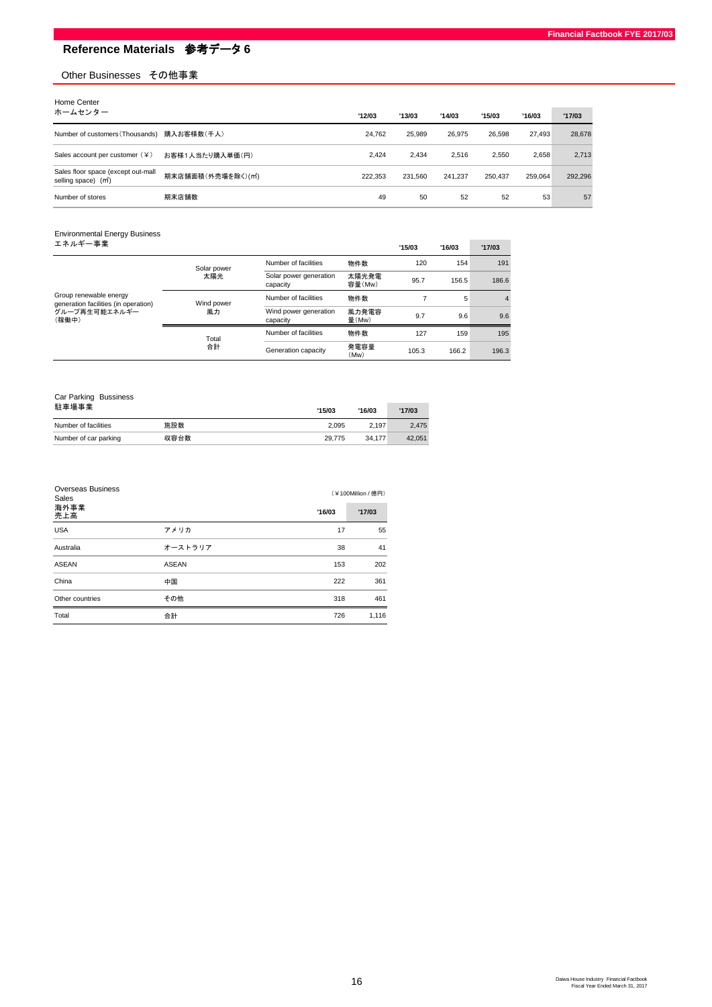## Other Businesses その他事業

| Home Center                                                            |                    |         |         |         |         |         |         |
|------------------------------------------------------------------------|--------------------|---------|---------|---------|---------|---------|---------|
| ホームセンター                                                                |                    | '12/03  | '13/03  | '14/03  | '15/03  | '16/03  | '17/03  |
| Number of customers (Thousands)                                        | 購入お客様数(千人)         | 24.762  | 25.989  | 26.975  | 26.598  | 27.493  | 28,678  |
| Sales account per customer $(4)$                                       | お客様1人当たり購入単価(円)    | 2.424   | 2.434   | 2.516   | 2.550   | 2,658   | 2,713   |
| Sales floor space (except out-mall<br>selling space) (m <sup>2</sup> ) | 期末店舗面積(外売場を除く)(m2) | 222.353 | 231.560 | 241.237 | 250,437 | 259.064 | 292,296 |
| Number of stores                                                       | 期末店舗数              | 49      | 50      | 52      | 52      | 53      | 57      |

| <b>Environmental Energy Business</b>                                                     |                  |                                    |                 |        |        |                |
|------------------------------------------------------------------------------------------|------------------|------------------------------------|-----------------|--------|--------|----------------|
| エネルギー事業                                                                                  |                  |                                    |                 | '15/03 | '16/03 | '17/03         |
|                                                                                          | Solar power      | Number of facilities               | 物件数             | 120    | 154    | 191            |
| Group renewable energy<br>generation facilities (in operation)<br>グループ再生可能エネルギー<br>(稼働中) | 太陽光              | Solar power generation<br>capacity | 太陽光発電<br>容量(Mw) | 95.7   | 156.5  | 186.6          |
|                                                                                          | Wind power<br>風力 | Number of facilities               | 物件数             |        | 5      | $\overline{4}$ |
|                                                                                          |                  | Wind power generation<br>capacity  | 風力発電容<br>量(Mw)  | 9.7    | 9.6    | 9.6            |
|                                                                                          | Total<br>合計      | Number of facilities               | 物件数             | 127    | 159    | 195            |
|                                                                                          |                  | Generation capacity                | 発電容量<br>(Mw)    | 105.3  | 166.2  | 196.3          |

| Car Parking Bussiness |      |        |        |        |  |
|-----------------------|------|--------|--------|--------|--|
| 駐車場事業                 |      | '15/03 | '16/03 | '17/03 |  |
| Number of facilities  | 施設数  | 2.095  | 2.197  | 2.475  |  |
| Number of car parking | 収容台数 | 29.775 | 34.177 | 42.051 |  |

| <b>Overseas Business</b><br>Sales |              |        | (¥100Million / 億円) |
|-----------------------------------|--------------|--------|--------------------|
| 海外事業<br>売上高                       |              | '16/03 | '17/03             |
| <b>USA</b>                        | アメリカ         | 17     | 55                 |
| Australia                         | オーストラリア      | 38     | 41                 |
| <b>ASEAN</b>                      | <b>ASEAN</b> | 153    | 202                |
| China                             | 中国           | 222    | 361                |
| Other countries                   | その他          | 318    | 461                |
| Total                             | 合計           | 726    | 1,116              |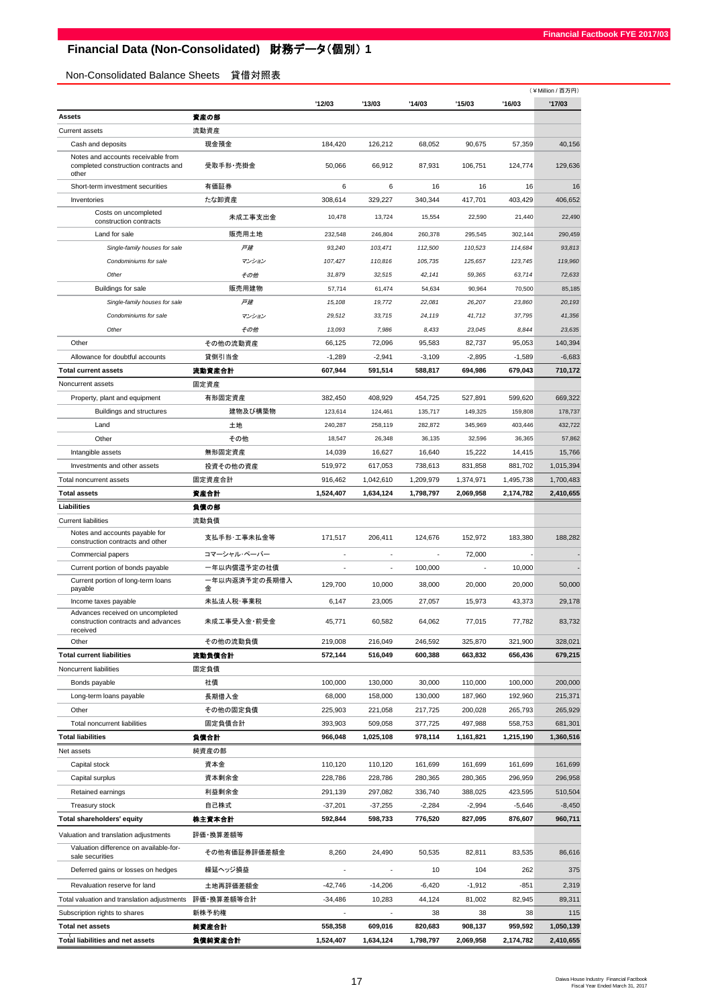# **Financial Data (Non-Consolidated)** 財務データ(個別) **1**

Non-Consolidated Balance Sheets 貸借対照表

|                                                                                     |                    |                          |                          |           |           |           | (¥Million / 百万円) |
|-------------------------------------------------------------------------------------|--------------------|--------------------------|--------------------------|-----------|-----------|-----------|------------------|
|                                                                                     |                    | '12/03                   | '13/03                   | '14/03    | '15/03    | '16/03    | '17/03           |
| Assets                                                                              | 資産の部               |                          |                          |           |           |           |                  |
| <b>Current assets</b>                                                               | 流動資産               |                          |                          |           |           |           |                  |
| Cash and deposits                                                                   | 現金預金               | 184,420                  | 126.212                  | 68.052    | 90,675    | 57,359    | 40,156           |
| Notes and accounts receivable from<br>completed construction contracts and<br>other | 受取手形·売掛金           | 50,066                   | 66,912                   | 87,931    | 106,751   | 124,774   | 129,636          |
| Short-term investment securities                                                    | 有価証券               | 6                        | 6                        | 16        | 16        | 16        | 16               |
| Inventories                                                                         | たな卸資産              | 308,614                  | 329,227                  | 340,344   | 417,701   | 403,429   | 406,652          |
| Costs on uncompleted<br>construction contracts                                      | 未成工事支出金            | 10,478                   | 13,724                   | 15,554    | 22,590    | 21,440    | 22,490           |
| Land for sale                                                                       | 販売用土地              | 232,548                  | 246,804                  | 260,378   | 295.545   | 302,144   | 290,459          |
| Single-family houses for sale                                                       | 戸建                 | 93,240                   | 103,471                  | 112,500   | 110,523   | 114,684   | 93,813           |
| Condominiums for sale                                                               | マンション              | 107,427                  | 110,816                  | 105,735   | 125,657   | 123,745   | 119,960          |
| Other                                                                               | その他                | 31,879                   | 32,515                   | 42,141    | 59,365    | 63,714    | 72,633           |
| Buildings for sale                                                                  | 販売用建物              | 57,714                   | 61,474                   | 54,634    | 90,964    | 70,500    | 85,185           |
| Single-family houses for sale                                                       | 戸建                 | 15,108                   | 19,772                   | 22,081    | 26,207    | 23,860    | 20,193           |
| Condominiums for sale                                                               | マンション              | 29,512                   | 33,715                   | 24,119    | 41,712    | 37,795    | 41,356           |
| Other                                                                               | その他                | 13,093                   | 7,986                    | 8,433     | 23,045    | 8,844     | 23,635           |
| Other                                                                               | その他の流動資産           | 66,125                   | 72,096                   | 95,583    | 82,737    | 95,053    | 140,394          |
| Allowance for doubtful accounts                                                     | 貸倒引当金              | $-1,289$                 | $-2,941$                 | $-3,109$  | $-2,895$  | $-1,589$  | $-6,683$         |
| <b>Total current assets</b>                                                         | 流動資産合計             | 607,944                  | 591.514                  | 588,817   | 694,986   | 679,043   | 710,172          |
| Noncurrent assets                                                                   | 固定資産               |                          |                          |           |           |           |                  |
| Property, plant and equipment                                                       | 有形固定資産             | 382,450                  | 408,929                  | 454,725   | 527,891   | 599,620   | 669,322          |
| Buildings and structures                                                            | 建物及び構築物            | 123,614                  | 124,461                  | 135,717   | 149,325   | 159,808   | 178,737          |
| Land                                                                                | 土地                 | 240,287                  | 258,119                  | 282,872   | 345,969   | 403,446   | 432,722          |
| Other                                                                               | その他                | 18,547                   | 26,348                   | 36,135    | 32,596    | 36,365    | 57,862           |
| Intangible assets                                                                   | 無形固定資産             | 14,039                   | 16,627                   | 16,640    | 15,222    | 14,415    | 15,766           |
| Investments and other assets                                                        | 投資その他の資産           | 519,972                  | 617,053                  | 738,613   | 831,858   | 881,702   | 1,015,394        |
| Total noncurrent assets                                                             | 固定資産合計             | 916,462                  | 1,042,610                | 1,209,979 | 1,374,971 | 1,495,738 | 1,700,483        |
| <b>Total assets</b>                                                                 | 資産合計               | 1,524,407                | 1,634,124                | 1,798,797 | 2,069,958 | 2,174,782 | 2,410,655        |
| Liabilities                                                                         | 負債の部               |                          |                          |           |           |           |                  |
| <b>Current liabilities</b>                                                          | 流動負債               |                          |                          |           |           |           |                  |
| Notes and accounts payable for<br>construction contracts and other                  | 支払手形·工事未払金等        | 171,517                  | 206,411                  | 124,676   | 152,972   | 183,380   | 188,282          |
| Commercial papers                                                                   | コマーシャル・ペーパー        | ٠                        | $\ddot{\phantom{1}}$     |           | 72,000    |           |                  |
| Current portion of bonds payable                                                    | 一年以内償還予定の社債        | ÷                        | ÷,                       | 100,000   |           | 10,000    |                  |
| Current portion of long-term loans<br>payable                                       | 一年以内返済予定の長期借入<br>金 | 129,700                  | 10,000                   | 38,000    | 20,000    | 20,000    | 50,000           |
| Income taxes payable                                                                | 未払法人税·事業税          | 6,147                    | 23,005                   | 27,057    | 15,973    | 43,373    | 29,178           |
| Advances received on uncompleted<br>construction contracts and advances<br>received | 未成工事受入金・前受金        | 45,771                   | 60,582                   | 64,062    | 77,015    | 77,782    | 83,732           |
| Other                                                                               | その他の流動負債           | 219,008                  | 216,049                  | 246,592   | 325,870   | 321,900   | 328,021          |
| <b>Total current liabilities</b>                                                    | 流動負債合計             | 572,144                  | 516,049                  | 600,388   | 663,832   | 656,436   | 679,215          |
| Noncurrent liabilities                                                              | 固定負債               |                          |                          |           |           |           |                  |
| Bonds payable                                                                       | 社債                 | 100,000                  | 130,000                  | 30,000    | 110,000   | 100,000   | 200,000          |
| Long-term loans payable                                                             | 長期借入金              | 68,000                   | 158,000                  | 130,000   | 187,960   | 192,960   | 215,371          |
| Other                                                                               | その他の固定負債           | 225,903                  | 221,058                  | 217,725   | 200,028   | 265,793   | 265,929          |
| Total noncurrent liabilities                                                        | 固定負債合計             | 393,903                  | 509,058                  | 377,725   | 497,988   | 558,753   | 681,301          |
| <b>Total liabilities</b>                                                            | 負債合計               | 966,048                  | 1,025,108                | 978,114   | 1,161,821 | 1,215,190 | 1,360,516        |
| Net assets                                                                          | 純資産の部              |                          |                          |           |           |           |                  |
| Capital stock                                                                       | 資本金                | 110,120                  | 110,120                  | 161,699   | 161,699   | 161,699   | 161,699          |
| Capital surplus                                                                     | 資本剰余金              | 228,786                  | 228,786                  | 280,365   | 280,365   | 296,959   | 296,958          |
| Retained earnings                                                                   | 利益剰余金              | 291,139                  | 297,082                  | 336,740   | 388,025   | 423,595   | 510,504          |
| Treasury stock                                                                      | 自己株式               | $-37,201$                | $-37,255$                | $-2,284$  | $-2,994$  | $-5,646$  | $-8,450$         |
| <b>Total shareholders' equity</b>                                                   | 株主資本合計             | 592,844                  | 598,733                  | 776,520   | 827,095   | 876,607   | 960,711          |
| Valuation and translation adjustments                                               | 評価・換算差額等           |                          |                          |           |           |           |                  |
| Valuation difference on available-for-<br>sale securities                           | その他有価証券評価差額金       | 8,260                    | 24,490                   | 50,535    | 82,811    | 83,535    | 86,616           |
| Deferred gains or losses on hedges                                                  | 繰延ヘッジ損益            |                          | ÷,                       | 10        | 104       | 262       | 375              |
| Revaluation reserve for land                                                        | 土地再評価差額金           | $-42,746$                | $-14,206$                | $-6,420$  | $-1,912$  | $-851$    | 2,319            |
| Total valuation and translation adjustments                                         | 評価・換算差額等合計         | $-34,486$                | 10,283                   | 44,124    | 81,002    | 82,945    | 89,311           |
| Subscription rights to shares                                                       | 新株予約権              | $\overline{\phantom{a}}$ | $\overline{\phantom{a}}$ | 38        | 38        | 38        | 115              |
| <b>Total net assets</b>                                                             | 純資産合計              | 558,358                  | 609,016                  | 820,683   | 908,137   | 959,592   | 1,050,139        |
| Total liabilities and net assets                                                    | 負債純資産合計            | 1,524,407                | 1,634,124                | 1,798,797 | 2,069,958 | 2,174,782 | 2,410,655        |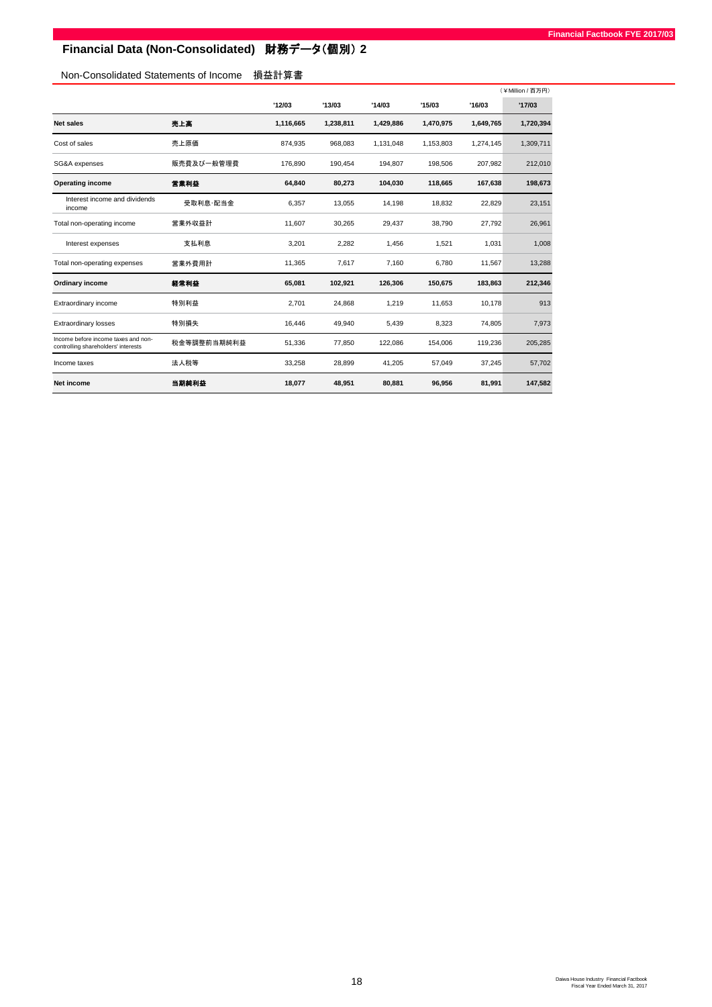# **Financial Data (Non-Consolidated)** 財務データ(個別) **2**

# Non-Consolidated Statements of Income 損益計算書

|                                                                            |             |           |           |           |           |           | (¥Million / 百万円) |
|----------------------------------------------------------------------------|-------------|-----------|-----------|-----------|-----------|-----------|------------------|
|                                                                            |             | '12/03    | '13/03    | '14/03    | '15/03    | '16/03    | '17/03           |
| Net sales                                                                  | 売上高         | 1,116,665 | 1,238,811 | 1,429,886 | 1,470,975 | 1,649,765 | 1,720,394        |
| Cost of sales                                                              | 売上原価        | 874,935   | 968,083   | 1,131,048 | 1,153,803 | 1,274,145 | 1,309,711        |
| SG&A expenses                                                              | 販売費及び一般管理費  | 176.890   | 190,454   | 194,807   | 198,506   | 207,982   | 212,010          |
| <b>Operating income</b>                                                    | 営業利益        | 64,840    | 80,273    | 104,030   | 118,665   | 167,638   | 198,673          |
| Interest income and dividends<br>income                                    | 受取利息·配当金    | 6,357     | 13,055    | 14,198    | 18,832    | 22,829    | 23,151           |
| Total non-operating income                                                 | 営業外収益計      | 11,607    | 30,265    | 29,437    | 38,790    | 27,792    | 26,961           |
| Interest expenses                                                          | 支払利息        | 3,201     | 2,282     | 1,456     | 1,521     | 1,031     | 1,008            |
| Total non-operating expenses                                               | 営業外費用計      | 11,365    | 7,617     | 7,160     | 6,780     | 11,567    | 13,288           |
| Ordinary income                                                            | 経常利益        | 65,081    | 102,921   | 126,306   | 150,675   | 183,863   | 212,346          |
| Extraordinary income                                                       | 特別利益        | 2,701     | 24,868    | 1,219     | 11,653    | 10,178    | 913              |
| <b>Extraordinary losses</b>                                                | 特別損失        | 16,446    | 49,940    | 5,439     | 8,323     | 74,805    | 7,973            |
| Income before income taxes and non-<br>controlling shareholders' interests | 税金等調整前当期純利益 | 51,336    | 77,850    | 122,086   | 154,006   | 119,236   | 205,285          |
| Income taxes                                                               | 法人税等        | 33,258    | 28,899    | 41,205    | 57,049    | 37,245    | 57,702           |
| Net income                                                                 | 当期純利益       | 18,077    | 48,951    | 80,881    | 96,956    | 81,991    | 147,582          |